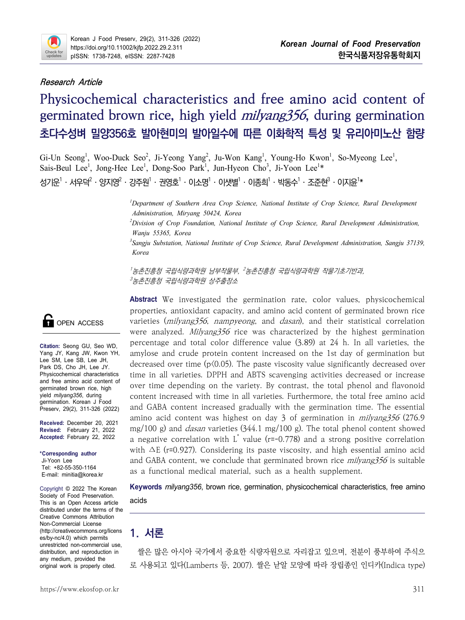

### **Research Article**

# **Physicochemical characteristics and free amino acid content of germinated brown rice, high yield milyang356, during germination 초다수성벼 밀양356호 발아현미의 발아일수에 따른 이화학적 특성 및 유리아미노산 함량**

Gi-Un Seong<sup>1</sup>, Woo-Duck Seo<sup>2</sup>, Ji-Yeong Yang<sup>2</sup>, Ju-Won Kang<sup>1</sup>, Young-Ho Kwon<sup>1</sup>, So-Myeong Lee<sup>1</sup>, Sais-Beul Lee<sup>1</sup>, Jong-Hee Lee<sup>1</sup>, Dong-Soo Park<sup>1</sup>, Jun-Hyeon Cho<sup>3</sup>, Ji-Yoon Lee<sup>1\*</sup> , Jong-Hee Lee<sup>1</sup>, Dong-Soo Park<sup>1</sup>, Jun-Hyeon Cho<sup>3</sup>, Ji-Yoon Lee<sup>1</sup>\* 성기운<sup>1</sup>・서우덕<sup>2</sup>・양지영<sup>2</sup>・강주원<sup>1</sup>・권영호<sup>1</sup>・이소명<sup>1</sup>・이샛별<sup>1</sup>・이종희<sup>1</sup>・박동수<sup>1</sup>・조주현<sup>3</sup>・이지유<sup>1</sup>\*

> *<sup>1</sup>Department of Southern Area Crop Science, National Institute of Crop Science, Rural Development Administration, Miryang 50424, Korea*

*<sup>2</sup>Division of Crop Foundation, National Institute of Crop Science, Rural Development Administration, Wanju 55365, Korea*

*<sup>3</sup>Sangju Substation, National Institute of Crop Science, Rural Development Administration, Sangju 37139, Korea*

<sup>1</sup> 농촌진흥청 국립식량과학원 남부작물부, <sup>2</sup> 농촌진흥청 국립식량과학원 작물기초기반과, <sup>3</sup> 농촌진흥청 국립식량과학원 상주출장소

**Abstract** We investigated the germination rate, color values, physicochemical properties, antioxidant capacity, and amino acid content of germinated brown rice varieties (*milyang*356, *nampyeong*, and *dasan*), and their statistical correlation were analyzed. Milyang356 rice was characterized by the highest germination percentage and total color difference value (3.89) at 24 h. In all varieties, the amylose and crude protein content increased on the 1st day of germination but decreased over time  $(p(0.05))$ . The paste viscosity value significantly decreased over time in all varieties. DPPH and ABTS scavenging activities decreased or increase over time depending on the variety. By contrast, the total phenol and flavonoid content increased with time in all varieties. Furthermore, the total free amino acid and GABA content increased gradually with the germination time. The essential amino acid content was highest on day 3 of germination in milyang356 (276.9 mg/100 g) and *dasan* varieties  $(344.1 \text{ mg}/100 \text{ g})$ . The total phenol content showed a negative correlation with  $L^*$  value (r=-0.778) and a strong positive correlation with ∆E (r=0.927). Considering its paste viscosity, and high essential amino acid and GABA content, we conclude that germinated brown rice *milyang356* is suitable as a functional medical material, such as a health supplement.

**Keywords** *milyang356*, brown rice, germination, physicochemical characteristics, free amino acids

# **1. 서론**

쌀은 많은 아시아 국가에서 중요한 식량자원으로 자리잡고 있으며, 전분이 풍부하여 주식으 로 사용되고 있다(Lamberts 등, 2007). 쌀은 낟알 모양에 따라 장립종인 인디카(Indica type)



**Citation:** Seong GU, Seo WD, Yang JY, Kang JW, Kwon YH, Lee SM, Lee SB, Lee JH, Park DS, Cho JH, Lee JY. Physicochemical characteristics and free amino acid content of germinated brown rice, high yield *milyang356*, during germination. Korean J Food Preserv, 29(2), 311-326 (2022)

**Received:** December 20, 2021 **Revised:** February 21, 2022 **Accepted:** February 22, 2022

**\*Corresponding author** Ji-Yoon Lee Tel: +82-55-350-1164 E-mail: minitia@korea.kr

Copyright © 2022 The Korean Society of Food Preservation. This is an Open Access article distributed under the terms of the Creative Commons Attribution Non-Commercial License (http://creativecommons.org/licens es/by-nc/4.0) which permits unrestricted non-commercial use, distribution, and reproduction in any medium, provided the original work is properly cited.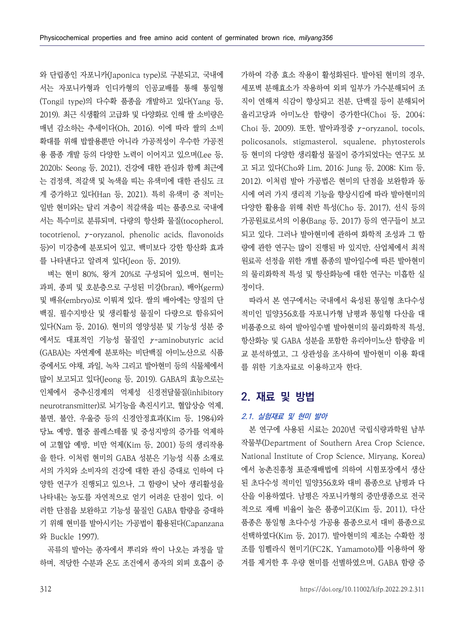서는 자포니카형과 인디카형의 인공교배를 통해 통일형 (Tongil type)의 다수확 품종을 개발하고 있다(Yang 등, 2019). 최근 식생활의 고급화 및 다양화로 인해 쌀 소비량은 매년 감소하는 추세이다(Oh, 2016). 이에 따라 쌀의 소비 확대를 위해 밥쌀용뿐만 아니라 가공적성이 우수한 가공전 용 품종 개발 등의 다양한 노력이 이어지고 있으며(Lee 등, 등 현미의 다양한 생리활성 물질이 증가되었다는 연구도 보<br>2020b; Seong 등, 2021), 건강에 대한 관심과 함께 최근에 고 되고 있다(Cho와 Lim, 2016; Jung 등, 2008; Kim 등, 는 검정색, 적갈색 및 녹색을 띠는 유색미에 대한 관심도 크 게 증가하고 있다(Han 등, 2021). 특히 유색미 중 적미는 일반 현미와는 달리 겨층이 적갈색을 띠는 품종으로 국내에 서는 특수미로 분류되며, 다량의 항산화 물질(tocopherol, tocotrienol, γ-oryzanol, phenolic acids, flavonoids 등)이 미강층에 분포되어 있고, 백미보다 강한 항산화 효과 를 나타낸다고 알려져 있다(Jeon 등, 2019).

벼는 현미 80%, 왕겨 20%로 구성되어 있으며, 현미는 과피, 종피 및 호분층으로 구성된 미강(bran), 배아(germ) 및 배유(embryo)로 이뤄져 있다. 쌀의 배아에는 양질의 단 백질, 필수지방산 및 생리활성 물질이 다량으로 함유되어 있다(Nam 등, 2016). 현미의 영양성분 및 기능성 성분 중 에서도 대표적인 기능성 물질인 γ-aminobutyric acid (GABA)는 자연계에 분포하는 비단백질 아미노산으로 식품 중에서도 야채, 과일, 녹차 그리고 발아현미 등의 식물체에서 많이 보고되고 있다(Jeong 등, 2019). GABA의 효능으로는 인체에서 중추신경계의 억제성 신경전달물질(inhibitory neurotransmitter)로 뇌기능을 촉진시키고, 혈압상승 억제,<br>불면, 불안, 우울증 등의 신경안정효과(Kim 등, 1984)와 당뇨 예방, 혈중 콜레스테롤 및 중성지방의 증가를 억제하 여 고혈압 예방, 비만 억제(Kim 등, 2001) 등의 생리작용 을 한다. 이처럼 현미의 GABA 성분은 기능성 식품 소재로 서의 가치와 소비자의 건강에 대한 관심 증대로 인하여 다 양한 연구가 진행되고 있으나, 그 함량이 낮아 생리활성을 나타내는 농도를 자연적으로 얻기 어려운 단점이 있다. 이 러한 단점을 보완하고 기능성 물질인 GABA 함량을 증대하 기 위해 현미를 발아시키는 가공법이 활용된다(Capanzana 와 Buckle 1997).

곡류의 발아는 종자에서 뿌리와 싹이 나오는 과정을 말 하며, 적당한 수분과 온도 조건에서 종자의 외피 호흡이 증

와 단립종인 자포니카(Japonica type)로 구분되고, 국내에 제가하여 각종 효소 작용이 활성화된다. 발아된 현미의 경우, 세포벽 부해효소가 작용하여 외피 일부가 가수부해되어 조 직이 연해져 식감이 향상되고 전분, 단백질 등이 분해되어 올리고당과 아미노산 함량이 증가한다(Choi 등, 2004; Choi 등, 2009). 또한, 발아과정중 γ-oryzanol, tocols, policosanols, stigmasterol, squalene, phytosterols 등 현미의 다양한 생리활성 물질이 증가되었다는 연구도 보 2012). 이처럼 발아 가공법은 현미의 단점을 보완함과 동 시에 여러 가지 생리적 기능을 향상시킴에 따라 발아현미의 다양한 활용을 위해 취반 특성(Cho 등, 2017), 선식 등의 가공원료로서의 이용(Bang 등, 2017) 등의 연구들이 보고 되고 있다. 그러나 발아현미에 관하여 화학적 조성과 그 함 량에 관한 연구는 많이 진행된 바 있지만, 산업체에서 최적 원료곡 선정을 위한 개별 품종의 발아일수에 따른 발아현미 의 물리화학적 특성 및 항산화능에 대한 연구는 미흡한 실 정이다.

> 따라서 본 연구에서는 국내에서 육성된 통일형 초다수성 적미인 밀양356호를 자포니카형 남평과 통일형 다산을 대 항산화능 및 GABA 성분을 포함한 유리아미노산 함량을 비 교 분석하였고, 그 상관성을 조사하여 발아현미 이용 확대 를 위한 기초자료로 이용하고자 한다.

# **2. 재료 및 방법**

### **2.1. 실험재료 및 현미 발아**

본 연구에 사용된 시료는 2020년 국립식량과학원 남부 작물부(Department of Southern Area Crop Science, National Institute of Crop Science, Miryang, Korea) 에서 농촌진흥청 표준재배법에 의하여 시험포장에서 생산 된 초다수성 적미인 밀양356호와 대비 품종으로 남평과 다 산을 이용하였다. 남평은 자포니카형의 중만생종으로 전국 적으로 재배 비율이 높은 품종이고(Kim 등, 2011), 다산 품종은 통일형 초다수성 가공용 품종으로서 대비 품종으로 선택하였다(Kim 등, 2017). 발아현미의 제조는 수확한 정 조를 임펠라식 현미기(FC2K, Yamamoto)를 이용하여 왕 겨를 제거한 후 우량 현미를 선별하였으며, GABA 함량 증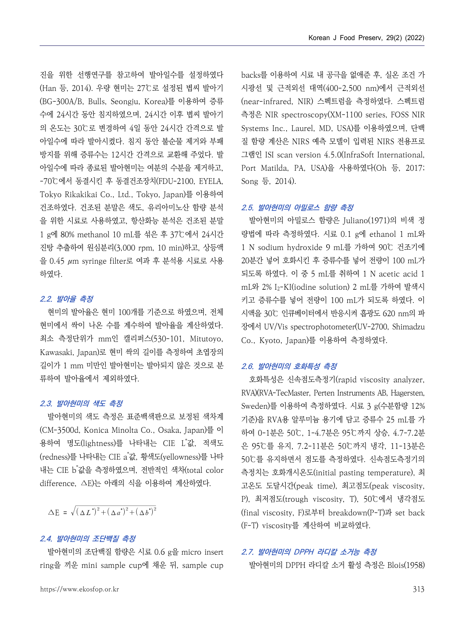진을 위한 선행연구를 참고하여 발아일수를 설정하였다 (Han 등, 2014). 우량 현미는 27℃로 설정된 볍씨 발아기 (BG-300A/B, Bulls, Seongju, Korea)를 이용하여 증류 수에 24시간 동안 침지하였으며, 24시간 이후 볍씨 발아기 의 온도는 30℃로 변경하여 4일 동안 24시간 간격으로 발 아일수에 따라 발아시켰다. 침지 동안 불순물 제거와 부패 방지를 위해 증류수는 12시간 간격으로 교환해 주었다. 발 아일수에 따라 종료된 발아현미는 여분의 수분을 제거하고,<br>-70℃에서 동결시킨 후 동결건조장치(FDU-2100, EYELA, Tokyo Rikakikai Co., Ltd., Tokyo, Japan)를 이용하여 건조하였다. 건조된 분말은 색도, 유리아미노산 함량 분석 을 위한 시료로 사용하였고, 항산화능 분석은 건조된 분말 1 g에 80% methanol 10 mL를 섞은 후 37℃에서 24시간 진탕 추출하여 원심분리(3,000 rpm, 10 min)하고, 상등액 을 0.45 μm syringe filter로 여과 후 분석용 시료로 사용 하였다.

### **2.2. 발아율 측정**

현미의 발아율은 현미 100개를 기준으로 하였으며, 전체 현미에서 싹이 나온 수를 계수하여 발아율을 계산하였다.<br>최소 측정단위가 mm인 캘리퍼스(530-101, Mitutoyo, Kawasaki, Japan)로 현미 싹의 길이를 측정하여 초엽장의 길이가 1 mm 미만인 발아현미는 발아되지 않은 것으로 분 류하여 발아율에서 제외하였다.

### **2.3. 발아현미의 색도 측정**

발아현미의 색도 측정은 표준백색판으로 보정된 색차계 (CM-3500d, Konica Minolta Co., Osaka, Japan)를 이 용하여 명도(lightness)를 나타내는 CIE L"값, 적색도 \_ \_ q5g= (redness)를 나타내는 CIE a \*값, 황색도(yellowness)를 나타 내는 CIE b \*값을 측정하였으며, 전반적인 색차(total color difference, ∆E)는 아래의 식을 이용하여 계산하였다. '-- ''-' '' '' '' '' ''<br>*'' '' '' '' ''*<br>의 색도 측정은 표준백색'<br>4, Konica Minolta Co.,<br>도(lightness)를 나타내는<br>' '값을 측정하였으며, 전반<br>'<br>'값을 측정하였으며, 전반<br>(<br><u>AE)는</u> 아래의 식을 이용<br><br>(<br>AE)는 아래의 식을 이용<br>''<br>'' (AZ')<sup>2</sup>+(Aa')<sup>2</sup>+(Ab')<sup>2</sup>

 $\Delta E = \sqrt{(\Delta L^*)^2 + (\Delta a^*)^2 + (\Delta b^*)^2}$ 

### **2.4. 발아현미의 조단백질 측정**

발아현미의 조단백질 함량은 시료 0.6 g을 micro insert ring을 끼운 mini sample cup에 채운 뒤, sample cup

backs를 이용하여 시료 내 공극을 없애준 후, 실온 조건 가 시광선 및 근적외선 대역(400-2,500 nm)에서 근적외선 (near-infrared, NIR) 스펙트럼을 측정하였다. 스펙트럼 측정은 NIR spectroscopy(XM-1100 series, FOSS NIR Systems Inc., Laurel, MD, USA)를 이용하였으며, 단백 질 함량 계산은 NIRS 예측 모델이 입력된 NIRS 전용프로 그램인 ISI scan version 4.5.0(InfraSoft International, Port Matilda, PA, USA)을 사용하였다(Oh 등, 2017; Song 등, 2014).

### **2.5. 발아현미의 아밀로스 함량 측정**

발아현미의 아밀로스 함량은 Juliano(1971)의 비색 정 량법에 따라 측정하였다. 시료 0.1 g에 ethanol 1 mL와 1 N sodium hydroxide 9 mL를 가하여 90℃ 건조기에 20분간 넣어 호화시킨 후 증류수를 넣어 전량이 100 mL가 되도록 하였다. 이 중 5 mL를 취하여 1 N acetic acid 1 mL와 2% I2-KI(iodine solution) 2 mL를 가하여 발색시 키고 증류수를 넣어 전량이 100 mL가 되도록 하였다. 이 시액을 30℃ 인큐베이터에서 반응시켜 흡광도 620 nm의 파 장에서 UV/Vis spectrophotometer(UV-2700, Shimadzu Co., Kyoto, Japan)를 이용하여 측정하였다.

### **2.6. 발아현미의 호화특성 측정**

호화특성은 신속점도측정기(rapid viscosity analyzer, RVA)(RVA-TecMaster, Perten Instruments AB, Hagersten, Sweden)를 이용하여 측정하였다. 시료 3 g(수분함량 12% 기준)을 RVA용 알루미늄 용기에 담고 증류수 25 mL를 가 하여 0-1분은 50℃, 1-4.7분은 95℃까지 상승, 4.7-7.2분 은 95℃를 유지, 7.2-11분은 50℃까지 냉각, 11-13분은 50℃를 유지하면서 점도를 측정하였다. 신속점도측정기의 측정치는 호화개시온도(initial pasting temperature), 최 고온도 도달시간(peak time), 최고점도(peak viscosity, P), 최저점도(trough viscosity, T), 50℃에서 냉각점도 (final viscosity, F)로부터 breakdown(P-T)과 set back (F-T) viscosity를 계산하여 비교하였다.

#### **2.7. 발아현미의 DPPH 라디칼 소거능 측정**

발아현미의 DPPH 라디칼 소거 활성 측정은 Blois(1958)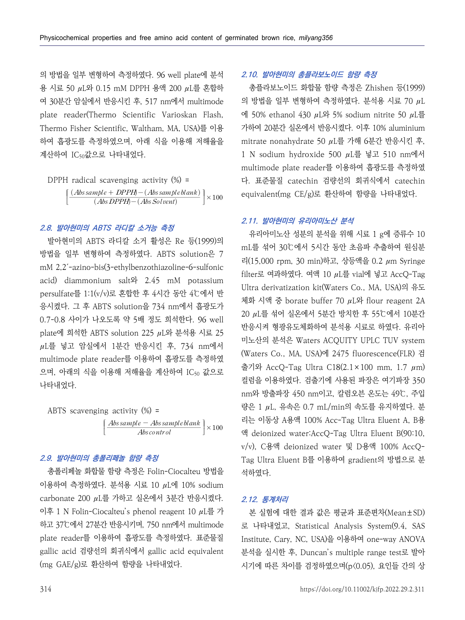의 방법을 일부 변형하여 측정하였다. 96 well plate에 분석 용 시료 50 μL와 0.15 mM DPPH 용액 200 μL를 혼합하 여 30분간 암실에서 반응시킨 후, 517 nm에서 multimode plate reader(Thermo Scientific Varioskan Flash, Thermo Fisher Scientific, Waltham, MA, USA)를 이용 하여 흡광도를 측정하였으며, 아래 식을 이용해 저해율을 mitrate nonahydrate 50  $\mu$ L를 가해 6분간 반응시킨 후, 계산하여 IC<sub>50</sub>값으로 나타내었다. emical properties and free amino acid cor<br>일부 변형하여 측정하였다. 96 well plate<br>0 µL와 0.15 mM DPPH 용액 200 µL를<br>: 암실에서 반응시킨 후, 517 nm에서 mul<br>:ader(Thermo Scientific Varioskan<br>Fisher Scientific, Waltham, MA, USA)<br>:도를 측정하였으며, 아래 식을 이용해

$$
DPPH radical scavenging activity (%) = \n\left[ \frac{(Abssample + DPPH) - (Abssampleblank)}{(Abs DPPH) - (Abs Solution)} \right] \times 100 \n\left[ \frac{(AbsDPPH) - (AbsSolution)}{Solvent} \right]
$$

### **2.8. 발아현미의 ABTS 라디칼 소거능 측정**

발아현미의 ABTS 라디칼 소거 활성은 Re 등(1999)의 방법을 일부 변형하여 측정하였다. ABTS solution은 7 mM 2,2´-azino-bis(3-ethylbenzothiazoline-6-sulfonic acid) diammonium salt와 2.45 mM potassium persulfate를 1:1(v/v)로 혼합한 후 4시간 동안 4℃에서 반 응시켰다. 그 후 ABTS solution을 734 nm에서 흡광도가 0.7-0.8 사이가 나오도록 약 5배 정도 희석한다. 96 well plate에 희석한 ABTS solution 225 μL와 분석용 시료 25  $\mu$ L를 넣고 암실에서 1분간 반응시킨 후, 734 nm에서 multimode plate reader를 이용하여 흡광도를 측정하였 으며, 아래의 식을 이용해 저해율을 계산하여 IC<sub>50</sub> 값으로 나타내었다.  $\vec{E} = \vec{E} \cdot \vec{E}$ <br>)로 혼합한 후 4시간 동안 4℃<br>S solution을 734 nm에서 흩<br>도록 약 5배 정도 희석한다. 9<br>; solution 225 µL와 분석용<br>1분간 반응시킨 후, 734 reader를 이용하여 흡광도를 측<br>용해 저해율을 계산하여 IC<sub>50</sub><br>, activity (%) =<br>*Abs sample — Abs sample blank*<br>*Abs contr* 



## **2.9. 발아현미의 총폴리페놀 함량 측정**

총폴리페놀 화합물 함량 측정은 Folin-Ciocalteu 방법을 이용하여 측정하였다. 분석용 시료 10 μL에 10% sodium carbonate 200 μL를 가하고 실온에서 3분간 반응시켰다. 이후 1 N Folin-Ciocalteu's phenol reagent 10 μL를 가 하고 37℃에서 27분간 반응시키며, 750 nm에서 multimode plate reader를 이용하여 흡광도를 측정하였다. 표준물질 gallic acid 검량선의 회귀식에서 gallic acid equivalent (mg GAE/g)로 환산하여 함량을 나타내었다.

# **2.10. 발아현미의 총플라보노이드 함량 측정**

총플라보노이드 화합물 함량 측정은 Zhishen 등(1999) 의 방법을 일부 변형하여 측정하였다. 분석용 시료 70 μL 에 50% ethanol 430 μL와 5% sodium nitrite 50 μL를 가하여 20분간 실온에서 반응시켰다. 이후 10% aluminium 1 N sodium hydroxide 500 μL를 넣고 510 nm에서 multimode plate reader를 이용하여 흡광도를 측정하였 다. 표준물질 catechin 검량선의 회귀식에서 catechin equivalent(mg CE/g)로 환산하여 함량을 나타내었다.

#### **2.11. 발아현미의 유리아미노산 분석**

유리아미노산 성분의 분석을 위해 시료 1 g에 증류수 10 mL를 섞어 30℃에서 5시간 동안 초음파 추출하여 원심분 리(15,000 rpm, 30 min)하고, 상등액을 0.2 μm Syringe filter로 여과하였다. 여액 10 μL를 vial에 넣고 AccQ-Tag Ultra derivatization kit(Waters Co., MA, USA)의 유도 체화 시액 중 borate buffer 70 μL와 flour reagent 2A 20 μL를 섞어 실온에서 5분간 방치한 후 55℃에서 10분간 반응시켜 형광유도체화하여 분석용 시료로 하였다. 유리아 미노산의 분석은 Waters ACQUITY UPLC TUV system (Waters Co., MA, USA)에 2475 fluorescence(FLR) 검 출기와 AccQ-Tag Ultra C18(2.1×100 mm, 1.7  $\mu$ m) 컬럼을 이용하였다. 검출기에 사용된 파장은 여기파장 350 nm와 방출파장 450 nm이고, 칼럼오븐 온도는 49℃, 주입 량은 1 μL, 유속은 0.7 mL/min의 속도를 유지하였다. 분 리는 이동상 A용액 100% Acc-Tag Ultra Eluent A, B용 액 deionized water:AccQ-Tag Ultra Eluent B(90:10, v/v), C용액 deionized water 및 D용액 100% AccQ-Tag Ultra Eluent B를 이용하여 gradient의 방법으로 분 석하였다.

#### **2.12. 통계처리**

본 실험에 대한 결과 값은 평균과 표준편차(Mean±SD) 로 나타내었고, Statistical Analysis System(9.4, SAS Institute, Cary, NC, USA)을 이용하여 one-way ANOVA 분석을 실시한 후, Duncan's multiple range test로 발아 시기에 따른 차이를 검정하였으며(p<0.05), 요인들 간의 상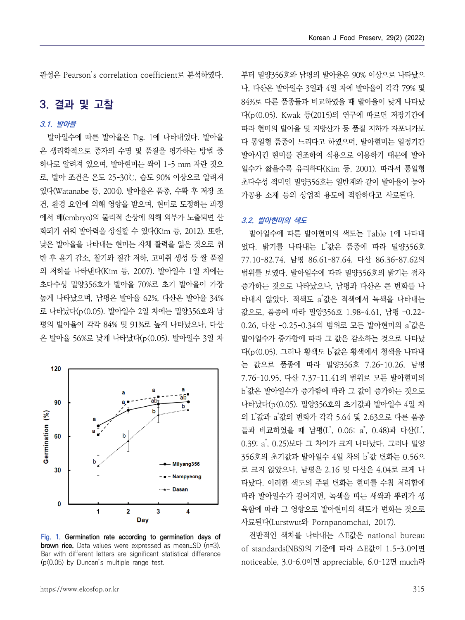관성은 Pearson's correlation coefficient로 분석하였다.

# **3. 결과 및 고찰**

# **3.1. 발아율**

발아일수에 따른 발아율은 Fig. 1에 나타내었다. 발아율 은 생리학적으로 종자의 수명 및 품질을 평가하는 방법 중 하나로 알려져 있으며, 발아현미는 싹이 1-5 mm 자란 것으 로, 발아 조건은 온도 25-30℃, 습도 90% 이상으로 알려져 있다(Watanabe 등, 2004). 발아율은 품종, 수확 후 저장 조 건, 환경 요인에 의해 영향을 받으며, 현미로 도정하는 과정 에서 배(embryo)의 물리적 손상에 의해 외부가 노출되면 산 화되기 쉬워 발아력을 상실할 수 있다(Kim 등, 2012). 또한,<br>낮은 발아율을 나타내는 현미는 자체 활력을 잃은 것으로 취 반 후 윤기 감소, 찰기와 질감 저하, 고미취 생성 등 쌀 품질 의 저하를 나타낸다(Kim 등, 2007). 발아일수 1일 차에는 초다수성 밀양356호가 발아율 70%로 초기 발아율이 가장 높게 나타났으며, 남평은 발아율 62%, 다산은 발아율 34% 로 나타났다(p<0.05). 발아일수 2일 차에는 밀양356호와 남 평의 발아율이 각각 84% 및 91%로 높게 나타났으나, 다산 은 발아율 56%로 낮게 나타났다(p<0.05). 발아일수 3일 차



**Fig. 1. Germination rate according to germination days of brown rice.** Data values were expressed as mean±SD (n=3). Bar with different letters are significant statistical difference (p<0.05) by Duncan's multiple range test.

부터 밀양356호와 남평의 발아율은 90% 이상으로 나타났으 나, 다산은 발아일수 3일과 4일 차에 발아율이 각각 79% 및 84%로 다른 품종들과 비교하였을 때 발아율이 낮게 나타났 다(p<0.05). Kwak 등(2015)의 연구에 따르면 저장기간에 따라 현미의 발아율 및 지방산가 등 품질 저하가 자포니카보 다 통일형 품종이 느리다고 하였으며, 발아현미는 일정기간 발아시킨 현미를 건조하여 식용으로 이용하기 때문에 발아 일수가 짧을수록 유리하다(Kim 등, 2001). 따라서 통일형 초다수성 적미인 밀양356호는 일반계와 같이 발아율이 높아 가공용 소재 등의 상업적 용도에 적합하다고 사료된다.

### **3.2. 발아현미의 색도**

발아일수에 따른 발아현미의 색도는 Table 1에 나타내 었다. 밝기를 나타내는 L \*값은 품종에 따라 밀양356호 77.10-82.74, 남평 86.61-87.64, 다산 86.36-87.62의 범위를 보였다. 발아일수에 따라 밀양356호의 밝기는 점차 증가하는 것으로 나타났으나, 남평과 다산은 큰 변화를 나 타내지 않았다. 적색도 a \*값은 적색에서 녹색을 나타내는 값으로, 품종에 따라 밀양356호 1.98-4.61, 남평 –0.22- 0.26, 다산 -0.25-0.34의 범위로 모든 발아현미의 a˚값은 발아일수가 증가함에 따라 그 값은 감소하는 것으로 나타났 다(p<0.05). 그러나 황색도 b"값은 황색에서 청색을 나타내 는 값으로 품종에 따라 밀양356호 7.26-10.26, 남평 7.76-10.95, 다산 7.37-11.41의 범위로 모든 발아현미의 b \*값은 발아일수가 증가함에 따라 그 값이 증가하는 것으로 나타났다(p<0.05). 밀양356호의 초기값과 발아일수 4일 차 의 L \*값과 a \*값의 변화가 각각 5.64 및 2.63으로 다른 품종 들과 비교하였을 때 남평(L\*, 0.06; a\*, 0.48)과 다산(L\*,<br>0.39; a\*, 0.25)보다 그 차이가 크게 나타났다. 그러나 밀양 0.39; a<sup>\*</sup>, 0.25)보다 그 차이가 크게 나타났다. 그러나 밀양 356호의 초기값과 발아일수 4일 차의 b゙값 변화는 0.56으 로 크지 않았으나, 남평은 2.16 및 다산은 4.04로 크게 나 타났다. 이러한 색도의 주된 변화는 현미를 수침 처리함에 따라 발아일수가 길어지면, 녹색을 띠는 새싹과 뿌리가 생 육함에 따라 그 영향으로 발아현미의 색도가 변화는 것으로 사료된다(Lurstwut와 Pornpanomchai, 2017).

전반적인 색차를 나타내는 ∆E값은 national bureau of standards(NBS)의 기준에 따라 ∆E값이 1.5-3.0이면 noticeable, 3.0-6.0이면 appreciable, 6.0-12면 much라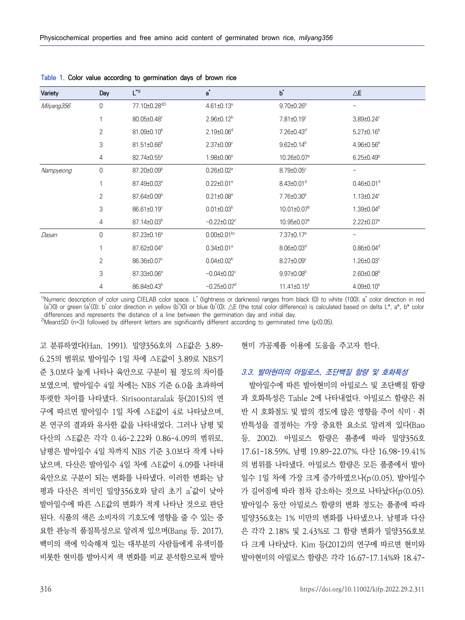| Variety    | Day                 | $L^{*1)}$               | $a^*$                         | $\mathsf{b}^*$               | $\triangle\!\mathsf{E}$      |
|------------|---------------------|-------------------------|-------------------------------|------------------------------|------------------------------|
| Milyang356 | 0                   | 77.10±0.28d2)           | 4.61±0.13 <sup>a</sup>        | $9.70 \pm 0.26^{\circ}$      |                              |
|            |                     | 80.05±0.48°             | $2.96 \pm 0.12^b$             | 7.81±0.19°                   | $3.89 \pm 0.24$ °            |
|            | $\mathbf{2}$        | 81.09±0.10 <sup>b</sup> | $2.19 \pm 0.06$ <sup>d</sup>  | 7.26±0.43 <sup>d</sup>       | $5.27 \pm 0.16^b$            |
|            | 3                   | 81.51±0.66 <sup>b</sup> | $2.37 \pm 0.09$ <sup>c</sup>  | $9.62 \pm 0.14^b$            | $4.96 \pm 0.56^b$            |
|            | 4                   | 82.74±0.55 <sup>a</sup> | 1.98±0.06 <sup>e</sup>        | 10.26±0.07 <sup>a</sup>      | $6.25 \pm 0.49$ <sup>a</sup> |
| Nampyeong  | $\mathsf{O}\xspace$ | 87.20±0.09 <sup>b</sup> | $0.26 \pm 0.02$ <sup>a</sup>  | 8.79±0.05°                   | $\qquad \qquad -$            |
|            |                     | 87.49±0.03 <sup>a</sup> | $0.22 \pm 0.01^a$             | $8.43{\pm}0.01^{\circ}$      | $0.46 \pm 0.01$ <sup>d</sup> |
|            | $\mathbf{2}$        | 87.64±0.09 <sup>a</sup> | $0.21 \pm 0.08^a$             | 7.76±0.30 <sup>e</sup>       | $1.13 \pm 0.24$ <sup>c</sup> |
|            | 3                   | 86.61±0.19°             | $0.01 \pm 0.03^b$             | $10.01 \pm 0.07^{\text{b}}$  | $1.39 \pm 0.04^b$            |
|            | 4                   | 87.14±0.03 <sup>b</sup> | $-0.22 \pm 0.02$ <sup>c</sup> | 10.95±0.07 <sup>a</sup>      | $2.22 \pm 0.07$ <sup>a</sup> |
| Dasan      | 0                   | 87.23±0.16 <sup>a</sup> | $0.00 \pm 0.01$ bc            | 7.37±0.17 <sup>e</sup>       | -                            |
|            |                     | 87.62±0.04 <sup>a</sup> | $0.34 \pm 0.01^a$             | $8.06 \pm 0.03$ <sup>d</sup> | $0.86 \pm 0.04$ <sup>d</sup> |
|            | $\overline{2}$      | 86.36±0.07°             | $0.04 \pm 0.02^b$             | 8.27±0.09°                   | $1.26 \pm 0.03$ °            |
|            | 3                   | 87.33±0.06 <sup>a</sup> | $-0.04\pm0.02^{\circ}$        | $9.97 \pm 0.08^b$            | $2.60 \pm 0.08^b$            |
|            | 4                   | 86.84±0.43 <sup>b</sup> | $-0.25 \pm 0.07$ <sup>d</sup> | $11.41 \pm 0.15^a$           | $4.09 \pm 0.10^a$            |

**Table 1. Color value according to germination days of brown rice**

<sup>1)</sup>Numeric description of color using CIELAB color space. L<sup>\*</sup> (lightness or darkness) ranges from black (0) to white (100); a<sup>\*</sup> color direction in red (a\*)0) or green (a\*<(0); b\* color direction in yellow (b\*)0) or blue (b\*<(0); △E (the total color difference) is calculated based on delta L\*, a\*, b\* color differences and represents the distance of a line between the germination day and initial day.

 $^{2}$ Mean±SD (n=3) followed by different letters are significantly different according to germinated time (p $(0.05)$ .

고 분류하였다(Han, 1991). 밀양356호의 ∆E값은 3.89- 6.25의 범위로 발아일수 1일 차에 ∆E값이 3.89로 NBS기 준 3.0보다 높게 나타나 육안으로 구분이 될 정도의 차이를 보였으며, 발아일수 4일 차에는 NBS 기준 6.0을 초과하여 뚜렷한 차이를 나타냈다. Sirisoontaralak 등(2015)의 연 구에 따르면 발아일수 1일 차에 △E값이 4로 나타났으며,<br>본 연구의 결과와 유사한 값을 나타내었다. 그러나 남평 및 다산의 △E값은 각각 0.46-2.22와 0.86-4.09의 범위로,<br>남평은 발아일수 4일 차까지 NBS 기준 3.0보다 작게 나타 났으며, 다산은 발아일수 4일 차에 ∆E값이 4.09를 나타내 육안으로 구분이 되는 변화를 나타냈다. 이러한 변화는 남 평과 다산은 적미인 밀양356호와 달리 초기 a 값이 낮아 발아일수에 따른 ∆E값의 변화가 적게 나타난 것으로 판단 된다. 식품의 색은 소비자의 기호도에 영향을 줄 수 있는 중 요한 관능적 품질특성으로 알려져 있으며(Bang 등, 2017), 백미의 색에 익숙해져 있는 대부분의 사람들에게 유색미를 비롯한 현미를 발아시켜 색 변화를 비교 분석함으로써 발아

현미 가공제품 이용에 도움을 주고자 한다.

### **3.3. 발아현미의 아밀로스, 조단백질 함량 및 호화특성**

발아일수에 따른 발아현미의 아밀로스 및 조단백질 함량 과 호화특성은 Table 2에 나타내었다. 아밀로스 함량은 취 반 시 호화점도 및 밥의 경도에 많은 영향을 주어 식미 ․ 취 반특성을 결정하는 가장 중요한 요소로 알려져 있다(Bao 등, 2002). 아밀로스 함량은 품종에 따라 밀양356호 17.61-18.59%, 남평 19.89-22.07%, 다산 16.98-19.41% 의 범위를 나타냈다. 아밀로스 함량은 모든 품종에서 발아 일수 1일 차에 가장 크게 증가하였으나(p<0.05), 발아일수 가 길어짐에 따라 점차 감소하는 것으로 나타났다(p<0.05). 발아일수 동안 아밀로스 함량의 변화 정도는 품종에 따라 밀양356호는 1% 미만의 변화를 나타냈으나, 남평과 다산 은 각각 2.18% 및 2.43%로 그 함량 변화가 밀양356호보 다 크게 나타났다. Kim 등(2012)의 연구에 따르면 현미와 발아현미의 아밀로스 함량은 각각 16.67-17.14%와 18.47-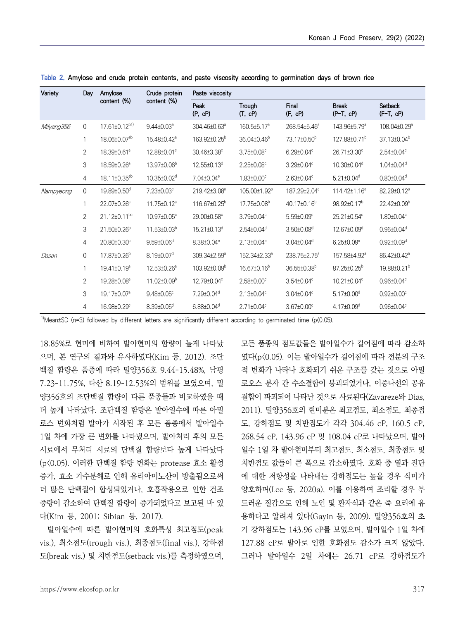| Variety    | Dav                 | Amylose                        | Crude protein                | Paste viscosity               |                              |                              |                             |                              |  |  |
|------------|---------------------|--------------------------------|------------------------------|-------------------------------|------------------------------|------------------------------|-----------------------------|------------------------------|--|--|
|            |                     | content (%)                    | content (%)                  | Peak<br>(P, cP)               | Trough<br>(T, cP)            | Final<br>(F, cP)             | <b>Break</b><br>$(P-T, cP)$ | Setback<br>$(F-T, cP)$       |  |  |
| Milyang356 | 0                   | $17.61 \pm 0.12^{b1}$          | $9.44 \pm 0.03^e$            | 304.46±0.63 <sup>a</sup>      | 160.5±5.17 <sup>a</sup>      | 268.54±5.46 <sup>a</sup>     | 143.96±5.79 <sup>a</sup>    | 108.04±0.29 <sup>a</sup>     |  |  |
|            | 1                   | 18.06±0.07 <sup>ab</sup>       | 15.48±0.42 <sup>a</sup>      | 163.92±0.25 <sup>b</sup>      | 36.04±0.46 <sup>b</sup>      | 73.17±0.50 <sup>b</sup>      | 127.88±0.71 <sup>b</sup>    | 37.13±0.04 <sup>b</sup>      |  |  |
|            | 2                   | 18.39±0.61 <sup>a</sup>        | 12.88±0.01°                  | 30.46±3.38°                   | $3.75 \pm 0.08^{\circ}$      | $6.29 \pm 0.04^{\circ}$      | 26.71±3.30°                 | $2.54 \pm 0.04^{\circ}$      |  |  |
|            | 3                   | 18.59±0.26 <sup>a</sup>        | 13.97±0.06 <sup>b</sup>      | 12.55±0.13 <sup>d</sup>       | 2.25±0.08°                   | 3.29±0.04°                   | 10.30±0.04d                 | $1.04 \pm 0.04^d$            |  |  |
|            | $\overline{4}$      | 18.11±0.35 <sup>ab</sup>       | 10.35±0.02 <sup>d</sup>      | 7.04±0.04 <sup>e</sup>        | $1.83 \pm 0.00^{\circ}$      | $2.63 \pm 0.04^{\circ}$      | $5.21 \pm 0.04^d$           | $0.80 \pm 0.04$ <sup>d</sup> |  |  |
| Nampyeong  | $\mathsf{O}\xspace$ | 19.89±0.50 <sup>d</sup>        | 7.23±0.03 <sup>e</sup>       | 219.42±3.08 <sup>a</sup>      | 105.00±1.92 <sup>a</sup>     | 187.29±2.04 <sup>a</sup>     | 114.42±1.16 <sup>a</sup>    | 82.29±0.12 <sup>a</sup>      |  |  |
|            | 1                   | 22.07±0.26 <sup>a</sup>        | $11.75 \pm 0.12^a$           | 116.67±0.25 <sup>b</sup>      | 17.75±0.08 <sup>b</sup>      | 40.17±0.16 <sup>b</sup>      | 98.92±0.17 <sup>b</sup>     | 22.42±0.09 <sup>b</sup>      |  |  |
|            | $\overline{2}$      | $21.12 \pm 0.11$ <sup>bc</sup> | 10.97±0.05°                  | 29.00±0.58°                   | 3.79±0.04°                   | $5.59{\pm}0.09^{\circ}$      | 25.21±0.54°                 | 1.80±0.04°                   |  |  |
|            | 3                   | 21.50±0.26 <sup>b</sup>        | $11.53\pm0.03^b$             | $15.21 \pm 0.13$ <sup>d</sup> | $2.54 \pm 0.04^{\circ}$      | $3.50 \pm 0.08^d$            | 12.67±0.09 <sup>d</sup>     | $0.96 \pm 0.04^d$            |  |  |
|            | $\overline{4}$      | 20.80±0.30°                    | $9.59{\pm}0.06^d$            | 8.38±0.04 <sup>e</sup>        | $2.13 \pm 0.04^e$            | $3.04 \pm 0.04^d$            | $6.25 \pm 0.09^{\circ}$     | $0.92 \pm 0.09^d$            |  |  |
| Dasan      | 0                   | 17.87±0.26 <sup>b</sup>        | $8.19 \pm 0.07$ <sup>d</sup> | 309.34±2.59 <sup>a</sup>      | 152.34±2.33 <sup>a</sup>     | 238.75±2.75 <sup>a</sup>     | 157.58±4.92 <sup>a</sup>    | 86.42±0.42 <sup>a</sup>      |  |  |
|            | 1                   | 19.41±0.19 <sup>a</sup>        | 12.53±0.26 <sup>a</sup>      | 103.92±0.09 <sup>b</sup>      | 16.67±0.16 <sup>b</sup>      | 36.55±0.38 <sup>b</sup>      | 87.25±0.25 <sup>b</sup>     | 19.88±0.21 <sup>b</sup>      |  |  |
|            | 2                   | 19.28±0.08 <sup>a</sup>        | $11.02 \pm 0.09^b$           | 12.79±0.04°                   | $2.58 \pm 0.00$ <sup>c</sup> | $3.54 \pm 0.04^{\circ}$      | 10.21±0.04°                 | $0.96 \pm 0.04$ <sup>c</sup> |  |  |
|            | 3                   | 19.17±0.07 <sup>a</sup>        | $9.48 \pm 0.05$ <sup>c</sup> | 7.29±0.04 <sup>d</sup>        | $2.13 \pm 0.04$ <sup>c</sup> | $3.04 \pm 0.04$ <sup>c</sup> | $5.17 \pm 0.00^{\circ}$     | $0.92 \pm 0.00$ <sup>c</sup> |  |  |
|            | 4                   | 16.98±0.29°                    | $8.39 \pm 0.05$ <sup>d</sup> | $6.88 \pm 0.04^d$             | $2.71 \pm 0.04^{\circ}$      | $3.67 \pm 0.00$ °            | $4.17 \pm 0.09^{\circ}$     | $0.96 \pm 0.04^{\circ}$      |  |  |

**Table 2. Amylose and crude protein contents, and paste viscosity according to germination days of brown rice**

<sup>1)</sup>Mean $\pm$ SD (n=3) followed by different letters are significantly different according to germinated time (p $(0.05)$ .

18.85%로 현미에 비하여 발아현미의 함량이 높게 나타났 으며, 본 연구의 결과와 유사하였다(Kim 등, 2012). 조단 백질 함량은 품종에 따라 밀양356호 9.44-15.48%, 남평 7.23-11.75%, 다산 8.19-12.53%의 범위를 보였으며, 밀 양356호의 조단백질 함량이 다른 품종들과 비교하였을 때 더 높게 나타났다. 조단백질 함량은 발아일수에 따른 아밀 로스 변화처럼 발아가 시작된 후 모든 품종에서 발아일수 1일 차에 가장 큰 변화를 나타냈으며, 발아처리 후의 모든 시료에서 무처리 시료의 단백질 함량보다 높게 나타났다 (p<0.05). 이러한 단백질 함량 변화는 protease 효소 활성 증가, 효소 가수분해로 인해 유리아미노산이 방출됨으로써 더 많은 단백질이 합성되었거나, 호흡작용으로 인한 건조 중량이 감소하여 단백질 함량이 증가되었다고 보고된 바 있 다(Kim 등, 2001; Sibian 등, 2017).

발아일수에 따른 발아현미의 호화특성 최고점도(peak vis.), 최소점도(trough vis.), 최종점도(final vis.), 강하점 도(break vis.) 및 치반점도(setback vis.)를 측정하였으며,

모든 품종의 점도값들은 발아일수가 길어짐에 따라 감소하 였다(p<0.05). 이는 발아일수가 길어짐에 따라 전분의 구조 적 변화가 나타나 호화되기 쉬운 구조를 갖는 것으로 아밀 로오스 분자 간 수소결합이 붕괴되었거나, 이중나선의 공유 결합이 파괴되어 나타난 것으로 사료된다(Zavareze와 Dias, 2011). 밀양356호의 현미분은 최고점도, 최소점도, 최종점 도, 강하점도 및 치반점도가 각각 304.46 cP, 160.5 cP, 268.54 cP, 143.96 cP 및 108.04 cP로 나타났으며, 발아 일수 1일 차 발아현미부터 최고점도, 최소점도, 최종점도 및 치반점도 값들이 큰 폭으로 감소하였다. 호화 중 열과 전단 에 대한 저항성을 나타내는 강하점도는 높을 경우 식미가 양호하며(Lee 등, 2020a), 이를 이용하여 조리할 경우 부 드러운 질감으로 인해 노인 및 환자식과 같은 죽 요리에 유 용하다고 알려져 있다(Gayin 등, 2009). 밀양356호의 초 기 강하점도는 143.96 cP를 보였으며, 발아일수 1일 차에 그러나 발아일수 2일 차에는 26.71 cP로 강하점도가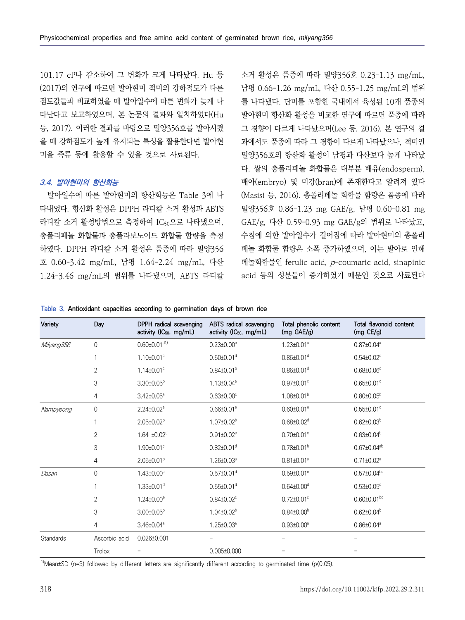101.17 cP나 감소하여 그 변화가 크게 나타났다. Hu 등 (2017)의 연구에 따르면 발아현미 적미의 강하점도가 다른 점도값들과 비교하였을 때 발아일수에 따른 변화가 늦게 나 타난다고 보고하였으며, 본 논문의 결과와 일치하였다(Hu 등, 2017). 이러한 결과를 바탕으로 밀양356호를 발아시켰 을 때 강하점도가 높게 유지되는 특성을 활용한다면 발아현 미을 죽류 등에 활용할 수 있을 것으로 사료된다.

### **3.4. 발아현미의 항산화능**

발아일수에 따른 발아현미의 항산화능은 Table 3에 나 타내었다. 항산화 활성은 DPPH 라디칼 소거 활성과 ABTS 라디칼 소거 활성방법으로 측정하여 IC<sub>50</sub>으로 나타냈으며, GAE/g, 다산 0.59-0.93 mg GAE/g의 범위로 나타났고,<br>총폴리페놀 화합물과 총플라보노이드 화합물 함량을 측정 수침에 의한 발아일수가 길어짐에 따라 발아현미의 총폴리 하였다. DPPH 라디칼 소거 활성은 품종에 따라 밀양356 호 0.60-3.42 mg/mL, 남평 1.64-2.24 mg/mL, 다산 1.24-3.46 mg/mL의 범위를 나타냈으며, ABTS 라디칼

소거 활성은 품종에 따라 밀양356호 0.23-1.13 mg/mL, 남평 0.66-1.26 mg/mL, 다산 0.55-1.25 mg/mL의 범위 를 나타냈다. 단미를 포함한 국내에서 육성된 10개 품종의 발아현미 항산화 활성을 비교한 연구에 따르면 품종에 따라 그 경향이 다르게 나타났으며(Lee 등, 2016), 본 연구의 결 과에서도 품종에 따라 그 경향이 다르게 나타났으나, 적미인 밀양356호의 항산화 활성이 남평과 다산보다 높게 나타났 다. 쌀의 총폴리페놀 화합물은 대부분 배유(endosperm), 배아(embryo) 및 미강(bran)에 존재한다고 알려져 있다 (Masisi 등, 2016). 총폴리페놀 화합물 함량은 품종에 따라 밀양356호 0.86-1.23 mg GAE/g, 남평 0.60-0.81 mg 수침에 의한 발아일수가 길어짐에 따라 발아현미의 총폴리 페놀 화합물 함량은 소폭 증가하였으며, 이는 발아로 인해 페놀화합물인 ferulic acid, p-coumaric acid, sinapinic acid 등의 성분들이 증가하였기 때문인 것으로 사료된다

**Table 3. Antioxidant capacities according to germination days of brown rice**

| Variety    | Day            | DPPH radical scavenging<br>activity (IC <sub>50</sub> , mg/mL) | ABTS radical scavenging<br>activity (IC <sub>50</sub> , mg/mL) | Total phenolic content<br>(mg GAE/g) | Total flavonoid content<br>(mg $CE/g$ ) |
|------------|----------------|----------------------------------------------------------------|----------------------------------------------------------------|--------------------------------------|-----------------------------------------|
| Milyang356 | $\overline{0}$ | $0.60 \pm 0.01$ <sup>d1)</sup>                                 | $0.23 \pm 0.00^{\circ}$                                        | $1.23 \pm 0.01^{\circ}$              | $0.87 \pm 0.04^a$                       |
|            | $\mathbf{1}$   | $1.10 \pm 0.01$ <sup>c</sup>                                   | $0.50 \pm 0.01$ <sup>d</sup>                                   | $0.86 \pm 0.01$ <sup>d</sup>         | $0.54 \pm 0.02$ <sup>d</sup>            |
|            | $\overline{2}$ | $1.14 \pm 0.01$ <sup>c</sup>                                   | $0.84 \pm 0.01^b$                                              | $0.86 \pm 0.01$ <sup>d</sup>         | $0.68 \pm 0.06$ <sup>c</sup>            |
|            | 3              | $3.30\pm0.05^{\rm b}$                                          | 1.13±0.04 <sup>a</sup>                                         | $0.97 \pm 0.01$ °                    | $0.65 \pm 0.01$ °                       |
|            | 4              | $3.42 \pm 0.05^{\circ}$                                        | $0.63 \pm 0.00$ <sup>c</sup>                                   | $1.08 \pm 0.01^b$                    | $0.80 \pm 0.05^{\circ}$                 |
| Nampyeong  | 0              | $2.24 \pm 0.02$ <sup>a</sup>                                   | $0.66 \pm 0.01$ <sup>e</sup>                                   | $0.60 \pm 0.01$ <sup>e</sup>         | $0.55 \pm 0.01$ °                       |
|            | $\mathbf{1}$   | $2.05 \pm 0.02^b$                                              | $1.07 \pm 0.02^b$                                              | $0.68 \pm 0.02$ <sup>d</sup>         | $0.62 \pm 0.03^b$                       |
|            | 2              | $1.64 \pm 0.02^d$                                              | $0.91 \pm 0.02$ <sup>c</sup>                                   | $0.70 \pm 0.01$ °                    | $0.63 \pm 0.04^b$                       |
|            | 3              | 1.90±0.01°                                                     | $0.82 \pm 0.01$ <sup>d</sup>                                   | $0.78 \pm 0.01^{\circ}$              | $0.67 \pm 0.04^{ab}$                    |
|            | 4              | $2.05 \pm 0.01^b$                                              | $1.26 \pm 0.03^{\circ}$                                        | $0.81 \pm 0.01^{\circ}$              | $0.71 \pm 0.02^{\circ}$                 |
| Dasan      | 0              | $1.43 \pm 0.00$ <sup>c</sup>                                   | $0.57 \pm 0.01$ <sup>d</sup>                                   | $0.59 \pm 0.01$ <sup>e</sup>         | $0.57 \pm 0.04$ <sup>bc</sup>           |
|            |                | $1.33 \pm 0.01$ <sup>d</sup>                                   | $0.55 \pm 0.01$ <sup>d</sup>                                   | $0.64 \pm 0.00$ <sup>d</sup>         | $0.53{\pm}0.05^{\circ}$                 |
|            | $\overline{2}$ | $1.24 \pm 0.00^e$                                              | $0.84 \pm 0.02$ <sup>c</sup>                                   | $0.72 \pm 0.01$ °                    | $0.60 \pm 0.01$ <sup>bc</sup>           |
|            | 3              | $3.00 \pm 0.05^{\circ}$                                        | $1.04 \pm 0.02^b$                                              | $0.84 \pm 0.00^{\circ}$              | $0.62 \pm 0.04^b$                       |
|            | 4              | $3.46 \pm 0.04^{\circ}$                                        | $1.25 \pm 0.03^{\circ}$                                        | $0.93 \pm 0.00^{\circ}$              | $0.86 \pm 0.04^{\circ}$                 |
| Standards  | Ascorbic acid  | 0.026±0.001                                                    |                                                                |                                      |                                         |
|            | Trolox         |                                                                | $0.005 \pm 0.000$                                              |                                      |                                         |

<sup>1)</sup>Mean±SD (n=3) followed by different letters are significantly different according to germinated time (p $(0.05)$ .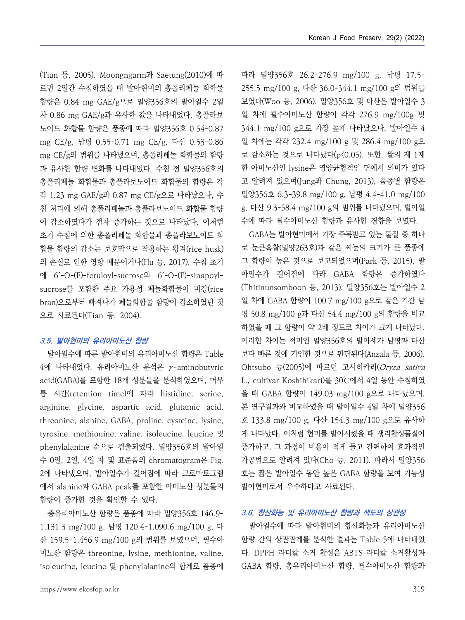(Tian 등, 2005). Moongngarm과 Saetung(2010)에 따 르면 2일간 수침하였을 때 발아현미의 총폴리페놀 화합물 함량은 0.84 mg GAE/g으로 밀양356호의 발아일수 2일 차 0.86 mg GAE/g과 유사한 값을 나타내었다. 총플라보 노이드 화합물 함량은 품종에 따라 밀양356호 0.54-0.87 mg CE/g, 남평 0.55-0.71 mg CE/g, 다산 0.53-0.86 mg CE/g의 범위를 나타냈으며, 총폴리페놀 화합물의 함량 과 유사한 함량 변화를 나타내었다. 수침 전 밀양356호의 총폴리페놀 화합물과 총플라보노이드 화합물의 함량은 각 각 1.23 mg GAE/g과 0.87 mg CE/g으로 나타났으나, 수 침 처리에 의해 총폴리페놀과 총플라보노이드 화합물 함량 이 감소하였다가 점차 증가하는 것으로 나타났다. 이처럼 초기 수침에 의한 총폴리페놀 화합물과 총플라보노이드 화 합물 함량의 감소는 보호막으로 작용하는 왕겨(rice husk) 의 손실로 인한 영향 때문이거나(Hu 등, 2017), 수침 초기 에 6´-O-(E)-feruloyl-sucrose와 6´-O-(E)-sinapoylsucrose를 포함한 주요 가용성 페놀화합물이 미강(rice bran)으로부터 빠져나가 페놀화합물 함량이 감소하였던 것 으로 사료된다(Tian 등, 2004).

#### **3.5. 발아현미의 유리아미노산 함량**

발아일수에 따른 발아현미의 유리아미노산 함량은 Table 4에 나타내었다. 유리아미노산 분석은 γ-aminobutyric acid(GABA)를 포함한 18개 성분들을 분석하였으며, 머무 arginine, glycine, aspartic acid, glutamic acid, threonine, alanine, GABA, proline, cysteine, lysine, tyrosine, methionine, valine, isoleucine, leucine 및 phenylalanine 순으로 검출되었다. 밀양356호의 발아일 수 0일, 2일, 4일 차 및 표준품의 chromatogram은 Fig. 2에 나타냈으며, 발아일수가 길어짐에 따라 크로마토그램 에서 alanine과 GABA peak를 포함한 아미노산 성분들의 함량이 증가한 것을 확인할 수 있다.

총유리아미노산 함량은 품종에 따라 밀양356호 146.9- 1,131.3 mg/100 g, 남평 120.4-1,090.6 mg/100 g, 다 산 159.5-1,456.9 mg/100 g의 범위를 보였으며, 필수아 미노산 함량은 threonine, lysine, methionine, valine, isoleucine, leucine 및 phenylalanine의 합계로 품종에 따라 밀양356호 26.2-276.9 mg/100 g, 남평 17.5- 255.5 mg/100 g, 다산 36.0-344.1 mg/100 g의 범위를 보였다(Woo 등, 2006). 밀양356호 및 다산은 발아일수 3 일 차에 필수아미노산 함량이 각각 276.9 mg/100g 및 344.1 mg/100 g으로 가장 높게 나타났으나, 발아일수 4 일 차에는 각각 232.4 mg/100 g 및 286.4 mg/100 g으 로 감소하는 것으로 나타났다(p<0.05). 또한, 쌀의 제 1제 한 아미노산인 lysine은 영양균형적인 면에서 의미가 있다 고 알려져 있으며(Jung과 Chung, 2013), 품종별 함량은 밀양356호 6.3-39.8 mg/100 g, 남평 4.4-41.0 mg/100 g, 다산 9.3-58.4 mg/100 g의 범위를 나타냈으며, 발아일 수에 따라 필수아미노산 함량과 유사한 경향을 보였다.

름 시간(retention time)에 따라 histidine, serine, 을 때 GABA 함량이 149.03 mg/100 g으로 나타났으며, GABA는 발아현미에서 가장 주목받고 있는 물질 중 하나 로 눈큰흑찰(밀양263호)과 같은 씨눈의 크기가 큰 품종에 그 함량이 높은 것으로 보고되었으며(Park 등, 2015), 발 아일수가 길어짐에 따라 GABA 함량은 증가하였다 (Thitinunsomboon 등, 2013). 밀양356호는 발아일수 2 일 차에 GABA 함량이 100.7 mg/100 g으로 같은 기간 남 평 50.8 mg/100 g과 다산 54.4 mg/100 g의 함량을 비교 하였을 때 그 함량이 약 2배 정도로 차이가 크게 나타났다.<br>이러한 차이는 적미인 밀양356호의 발아세가 남평과 다산 보다 빠른 것에 기인한 것으로 판단된다(Anzala 등, 2006). Ohtsubo 등(2005)에 따르면 고시히카리(Oryza sativa L., cultivar Koshihikari)를 30℃에서 4일 동안 수침하였 본 연구결과와 비교하였을 때 발아일수 4일 차에 밀양356 호 133.8 mg/100 g, 다산 154.3 mg/100 g으로 유사하 게 나타났다. 이처럼 현미를 발아시켰을 때 생리활성물질이 증가하고, 그 과정이 비용이 적게 들고 간편하여 효과적인 가공법으로 알려져 있다(Cho 등, 2011). 따라서 밀양356 호는 짧은 발아일수 동안 높은 GABA 함량을 보여 기능성 발아현미로서 우수하다고 사료된다.

### **3.6. 항산화능 및 유리아미노산 함량과 색도의 상관성**

발아일수에 따라 발아현미의 항산화능과 유리아미노산 함량 간의 상관관계를 분석한 결과는 Table 5에 나타내었 다. DPPH 라디칼 소거 활성은 ABTS 라디칼 소거활성과 GABA 함량, 총유리아미노산 함량, 필수아미노산 함량과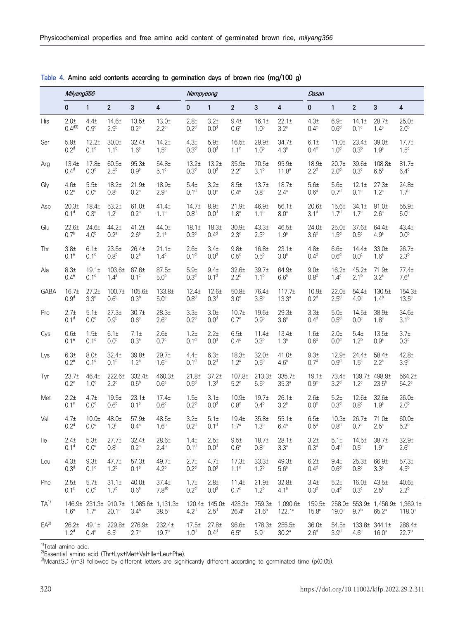|             | Milyang356                            |                                  |                                      |                                        |                               | Nampyeong                             |                                       |                                    | Dasan                         |                                 |                           |                           |                    |                                                   |                      |
|-------------|---------------------------------------|----------------------------------|--------------------------------------|----------------------------------------|-------------------------------|---------------------------------------|---------------------------------------|------------------------------------|-------------------------------|---------------------------------|---------------------------|---------------------------|--------------------|---------------------------------------------------|----------------------|
|             | $\pmb{0}$                             | $\mathbf{1}$                     | $\overline{2}$                       | 3                                      | 4                             | $\mathbf{0}$                          | $\mathbf{1}$                          | $\overline{2}$                     | 3                             | 4                               | $\mathbf{0}$              | $\mathbf{1}$              | $\overline{2}$     | 3                                                 | 4                    |
| His         | $2.0+$                                | 4.4 <sub>±</sub>                 | 14.6±                                | 13.5 <sub>±</sub>                      | 13.0 <sub>±</sub>             | $2.8 +$                               | $3.2 +$                               | $9.4 +$                            | 16.1 <sub>±</sub>             | 22.1 <sub>±</sub>               | 4.3 <sub>±</sub>          | $6.9+$                    | 14.1 <sub>±</sub>  | 28.7 <sub>±</sub>                                 | $25.0+$              |
|             | $0.4^{d3}$                            | $0.9^\circ$                      | 2.9 <sup>b</sup>                     | 0.2 <sup>a</sup>                       | $2.2^\circ$                   | 0.2 <sup>d</sup>                      | 0.0 <sup>d</sup>                      | 0.6 <sup>c</sup>                   | 1.0 <sup>b</sup>              | $3.2^a$                         | $0.4^\mathrm{e}$          | 0.6 <sup>d</sup>          | $0.1^\circ$        | $1.4^{\circ}$                                     | 2.0 <sup>b</sup>     |
| Ser         | 5.9 <sub>±</sub>                      | 12.2 <sub>±</sub>                | 30.01                                | 32.4 <sub>±</sub>                      | 14.2 <sub>±</sub>             | 4.3 <sub>±</sub>                      | $5.9 +$                               | 16.5 <sub>±</sub>                  | 29.9 <sub>±</sub>             | 34.7±                           | 6.1±                      | 11.0±                     | 23.4 <sub>±</sub>  | 39.0±                                             | 17.7 <sub>±</sub>    |
|             | 0.2 <sup>d</sup>                      | $0.1^\circ$                      | $1.1^{b}$                            | 1.6 <sup>a</sup>                       | $1.5^{\circ}$                 | 0.3 <sup>d</sup>                      | 0.0 <sup>d</sup>                      | $1.1^c$                            | 1.0 <sup>b</sup>              | $4.3^a$                         | $0.4^e$                   | 1.0 <sup>d</sup>          | 0.3 <sup>b</sup>   | 1.9 <sup>a</sup>                                  | $1.5^{\circ}$        |
| Arg         | 13.4 <sub>±</sub>                     | 17.8 <sub>±</sub>                | 60.5 <sub>±</sub>                    | 95.3 <sub>±</sub>                      | 54.8±                         | 13.2 <sub>±</sub>                     | 13.2 <sub>±</sub>                     | 35.9 <sub>±</sub>                  | 70.5 <sub>±</sub>             | 95.9 <sub>±</sub>               | 18.9 <sub>±</sub>         | 20.7 <sub>±</sub>         | 39.6±              | 108.8 <sub>±</sub>                                | 81.7 <sub>±</sub>    |
|             | 0.4 <sup>d</sup>                      | 0.3 <sup>d</sup>                 | $2.5^{\circ}$                        | 0.9 <sup>a</sup>                       | $5.1^\circ$                   | 0.3 <sup>d</sup>                      | 0.0 <sup>d</sup>                      | $2.2^{\circ}$                      | 3.1 <sup>b</sup>              | 11.8 <sup>a</sup>               | 2.2 <sup>d</sup>          | 2.0 <sup>d</sup>          | 0.3 <sup>c</sup>   | $6.5^{\circ}$                                     | 6.4 <sup>d</sup>     |
| Gly         | 4.6 <sub>±</sub>                      | 5.5±                             | 18.2 <sub>±</sub>                    | 21.9 <sub>±</sub>                      | 18.9±                         | 5.4 <sub>±</sub>                      | $3.2 +$                               | 8.5 <sub>±</sub>                   | 13.7 <sub>±</sub>             | 18.7 <sub>±</sub>               | $5.6+$                    | $5.6+$                    | 12.1 <sub>±</sub>  | 27.3 <sub>±</sub>                                 | $24.8 +$             |
|             | $0.2^{\circ}$                         | $0.0^\circ$                      | 0.8 <sup>b</sup>                     | 0.2 <sup>a</sup>                       | 2.9 <sup>b</sup>              | 0.1 <sup>d</sup>                      | 0.0 <sup>e</sup>                      | $0.4^\circ$                        | 0.8 <sup>b</sup>              | $2.4^{\circ}$                   | 0.6 <sup>d</sup>          | 0.7 <sup>d</sup>          | $0.1^\circ$        | $1.2^a$                                           | 1.7 <sup>b</sup>     |
| Asp         | 20.3 <sub>±</sub>                     | 18.4±                            | $53.2+$                              | 61.0±                                  | 41.4 <sub>±</sub>             | 14.7 <sub>±</sub>                     | 8.9 <sub>±</sub>                      | 21.9 <sub>±</sub>                  | 46.9±                         | 56.1±                           | 20.6 <sub>±</sub>         | 15.6 <sub>±</sub>         | 34.1 <sub>±</sub>  | 91.0±                                             | 55.9 <sub>±</sub>    |
|             | 0.1 <sup>d</sup>                      | 0.3 <sup>e</sup>                 | $1.2^{b}$                            | 0.2 <sup>a</sup>                       | 1.1 <sup>c</sup>              | 0.8 <sup>d</sup>                      | 0.0 <sup>d</sup>                      | 1.8 <sup>c</sup>                   | $1.1^{b}$                     | 8.0 <sup>a</sup>                | 3.1 <sup>d</sup>          | 1.7 <sup>d</sup>          | 1.7 <sup>c</sup>   | 2.6 <sup>a</sup>                                  | 5.0 <sup>b</sup>     |
| Glu         | $22.6+$                               | 24.6 <sub>±</sub>                | 44.2 <sub>±</sub>                    | 41.2 <sub>±</sub>                      | 44.0±                         | 18.1 <sub>±</sub>                     | 18.3 <sub>±</sub>                     | 30.9 <sub>±</sub>                  | 43.3 <sub>±</sub>             | 46.5±                           | 24.0 <sub>±</sub>         | 25.0 <sub>±</sub>         | 37.6 <sub>±</sub>  | 64.4±                                             | 43.4±                |
|             | 0.7 <sup>b</sup>                      | 4.0 <sup>b</sup>                 | 0.2 <sup>a</sup>                     | 2.6 <sup>a</sup>                       | $2.1^a$                       | 0.3 <sup>d</sup>                      | 0.4 <sup>d</sup>                      | $2.3^\circ$                        | 2.3 <sup>b</sup>              | 1.9 <sup>a</sup>                | 3.6 <sup>d</sup>          | 1.5 <sup>d</sup>          | $0.5^\circ$        | 4.9 <sup>a</sup>                                  | 0.0 <sup>b</sup>     |
| Thr         | 3.8 <sub>±</sub>                      | 6.1 <sub>±</sub>                 | $23.5+$                              | 26.4 <sub>±</sub>                      | 21.1 <sub>±</sub>             | 2.6 <sub>±</sub>                      | 3.4 <sub>±</sub>                      | $9.8 +$                            | 16.8 <sub>±</sub>             | 23.1 <sub>±</sub>               | 4.8 <sub>±</sub>          | 6.6 <sub>±</sub>          | 14.4 <sub>±</sub>  | 33.0 <sub>±</sub>                                 | 26.7 <sub>±</sub>    |
|             | 0.1 <sup>e</sup>                      | 0.1 <sup>d</sup>                 | 0.8 <sup>b</sup>                     | 0.2 <sup>a</sup>                       | $1.4^\circ$                   | 0.1 <sup>d</sup>                      | 0.0 <sup>d</sup>                      | 0.5 <sup>c</sup>                   | 0.5 <sup>b</sup>              | 3.0 <sup>a</sup>                | 0.4 <sup>d</sup>          | 0.6 <sup>d</sup>          | $0.0^\circ$        | 1.6 <sup>a</sup>                                  | 2.3 <sup>b</sup>     |
| Ala         | 8.3 <sub>±</sub>                      | 19.1 <sub>±</sub>                | 103.6±                               | 67.6±                                  | 87.5±                         | $5.9 +$                               | 9.4 <sub>±</sub>                      | 32.6 <sub>±</sub>                  | 39.7 <sub>±</sub>             | 64.9±                           | 9.0±                      | 16.2 <sub>±</sub>         | 45.2 <sub>±</sub>  | 71.9±                                             | 77.4 <sub>±</sub>    |
|             | 0.4 <sup>e</sup>                      | 0.1 <sup>d</sup>                 | $1.4^a$                              | $0.1^\circ$                            | 5.0 <sup>b</sup>              | 0.3 <sup>d</sup>                      | 0.1 <sup>d</sup>                      | $2.2^{\circ}$                      | $1.1^{b}$                     | 6.6 <sup>a</sup>                | 0.8 <sup>d</sup>          | $1.4^\circ$               | $2.1^{b}$          | 3.2 <sup>a</sup>                                  | 7.6 <sup>a</sup>     |
| <b>GABA</b> | 16.7 <sub>±</sub>                     | 27.2 <sub>±</sub>                | 100.7 <sub>±</sub>                   | 105.6 <sub>±</sub>                     | 133.8±                        | 12.4 <sub>±</sub>                     | 12.6 <sub>±</sub>                     | 50.8 <sub>±</sub>                  | 76.4±                         | 117.7 <sub>±</sub>              | 10.9 <sub>±</sub>         | 22.0±                     | 54.4 <sub>±</sub>  | 130.5 <sub>±</sub>                                | 154.3 <sub>±</sub>   |
|             | 0.9 <sup>d</sup>                      | $3.3^\circ$                      | 0.6 <sup>b</sup>                     | 0.3 <sup>b</sup>                       | 5.0 <sup>a</sup>              | 0.8 <sup>d</sup>                      | 0.3 <sup>d</sup>                      | $3.0^\circ$                        | 3.8 <sup>b</sup>              | $13.3^a$                        | 0.2 <sup>d</sup>          | $2.5^d$                   | $4.9^\circ$        | 1.4 <sup>b</sup>                                  | $13.5^{\circ}$       |
| Pro         | 2.7 <sub>±</sub>                      | 5.1 <sub>±</sub>                 | 27.3 <sub>±</sub>                    | 30.7 <sub>±</sub>                      | 28.3 <sub>±</sub>             | 3.3 <sub>±</sub>                      | $3.0+$                                | 10.7 <sub>±</sub>                  | 19.6 <sub>±</sub>             | 29.3 <sub>±</sub>               | 3.3 <sub>±</sub>          | $5.0+$                    | 14.5±              | 38.9 <sub>±</sub>                                 | 34.6±                |
|             | 0.1 <sup>d</sup>                      | $0.0^\circ$                      | 0.9 <sup>b</sup>                     | 0.6 <sup>a</sup>                       | 2.6 <sup>b</sup>              | 0.2 <sup>d</sup>                      | 0.0 <sup>d</sup>                      | $0.7^\circ$                        | 0.9 <sup>b</sup>              | 3.6 <sup>a</sup>                | 0.4 <sup>d</sup>          | 0.5 <sup>d</sup>          | $0.0^\circ$        | 1.8 <sup>a</sup>                                  | 3.1 <sup>b</sup>     |
| Cys         | 0.6 <sub>±</sub>                      | 1.5±                             | 6.1 <sub>±</sub>                     | 7.1 <sub>±</sub>                       | 2.6 <sub>±</sub>              | 1.2 <sub>±</sub>                      | $2.2 +$                               | $6.5+$                             | 11.4 <sub>±</sub>             | 13.4 <sub>±</sub>               | 1.6 <sub>±</sub>          | $2.0+$                    | 5.4 <sub>±</sub>   | 13.5 <sub>±</sub>                                 | 3.7 <sub>±</sub>     |
|             | 0.1 <sup>e</sup>                      | 0.1 <sup>d</sup>                 | 0.0 <sup>b</sup>                     | 0.3 <sup>a</sup>                       | $0.7^\circ$                   | 0.1 <sup>d</sup>                      | 0.0 <sup>d</sup>                      | $0.4^\circ$                        | 0.3 <sup>b</sup>              | $1.3^a$                         | 0.6 <sup>d</sup>          | 0.0 <sup>d</sup>          | $1.2^{b}$          | 0.9 <sup>a</sup>                                  | $0.3^\circ$          |
| Lys         | 6.3 <sub>±</sub>                      | 8.0±                             | 32.4±                                | 39.8±                                  | 29.7 <sub>±</sub>             | 4.4 <sub>±</sub>                      | 6.3 <sub>±</sub>                      | 18.3 <sub>±</sub>                  | 32.0±                         | 41.0±                           | 9.3 <sub>±</sub>          | 12.9 <sub>±</sub>         | 24.4 <sub>±</sub>  | 58.4±                                             | $42.8 +$             |
|             | $0.2^e$                               | 0.1 <sup>d</sup>                 | 0.1 <sup>b</sup>                     | 1.2 <sup>a</sup>                       | 1.6 <sup>c</sup>              | 0.1 <sup>d</sup>                      | 0.2 <sup>d</sup>                      | $1.2^{\circ}$                      | 0.5 <sup>b</sup>              | 4.6 <sup>a</sup>                | 0.7 <sup>d</sup>          | 0.9 <sup>d</sup>          | 1.5 <sup>c</sup>   | $2.2^{\circ}$                                     | 3.9 <sup>b</sup>     |
| Tyr         | 23.7 <sub>±</sub>                     | 46.4 <sub>±</sub>                | 222.6±                               | 332.4±                                 | 460.3±                        | 21.8 <sub>±</sub>                     | 37.2 <sub>±</sub>                     | 107.8±                             | 213.3 <sub>±</sub>            | 335.7±                          | 19.1 <sub>±</sub>         | 73.4±                     | 139.7 <sub>±</sub> | 498.9±                                            | 564.2±               |
|             | $0.2^e$                               | 1.0 <sup>d</sup>                 | $2.2^{\circ}$                        | 0.5 <sup>b</sup>                       | 0.6 <sup>a</sup>              | 0.5 <sup>d</sup>                      | 1.3 <sup>d</sup>                      | $5.2^{\circ}$                      | 5.5 <sup>b</sup>              | 35.3 <sup>a</sup>               | 0.9 <sup>e</sup>          | 3.2 <sup>d</sup>          | $1.2^\circ$        | $23.5^{b}$                                        | $54.2^\circ$         |
| Met         | $2.2 +$                               | 4.7 <sub>±</sub>                 | 19.5±                                | 23.1 <sub>±</sub>                      | 17.4 <sub>±</sub>             | 1.5±                                  | 3.1 <sub>±</sub>                      | 10.9 <sub>±</sub>                  | 19.7 <sub>±</sub>             | $26.1 \pm$                      | $2.6 +$                   | $5.2+$                    | 12.6±              | 32.6 <sub>±</sub>                                 | 26.0 <sub>±</sub>    |
|             | 0.1 <sup>e</sup>                      | 0.0 <sup>d</sup>                 | 0.6 <sup>b</sup>                     | 0.1 <sup>a</sup>                       | $0.6^\circ$                   | 0.2 <sup>d</sup>                      | 0.0 <sup>d</sup>                      | 0.8 <sup>c</sup>                   | 0.4 <sup>b</sup>              | 3.2 <sup>a</sup>                | 0.0 <sup>e</sup>          | 0.3 <sup>d</sup>          | 0.8 <sup>c</sup>   | 1.9 <sup>a</sup>                                  | 2.0 <sup>b</sup>     |
| Val         | 4.7 <sub>±</sub>                      | 10.01                            | 48.0±                                | 57.9 <sub>±</sub>                      | 48.5±                         | 3.2 <sub>±</sub>                      | 5.1 <sub>±</sub>                      | 19.4 <sub>±</sub>                  | 35.8±                         | 55.1 <sub>±</sub>               | $6.5+$                    | 10.3 <sub>±</sub>         | 26.7 <sub>±</sub>  | 71.0 <sub>±</sub>                                 | 60.0 <sub>±</sub>    |
|             | 0.2 <sup>d</sup>                      | $0.0^\circ$                      | 1.3 <sup>b</sup>                     | $0.4^{\circ}$                          | 1.6 <sup>b</sup>              | 0.2 <sup>d</sup>                      | 0.1 <sup>d</sup>                      | $1.7^\circ$                        | 1.3 <sup>b</sup>              | $6.4^a$                         | 0.5 <sup>d</sup>          | 0.8 <sup>d</sup>          | $0.7^\circ$        | $2.5^{\circ}$                                     | $5.2^b$              |
| lle         | 2.4 <sub>±</sub>                      | 5.3 <sub>±</sub>                 | 27.7 <sub>±</sub>                    | 32.4 <sub>±</sub>                      | 28.6 <sub>±</sub>             | 1.4 <sub>±</sub>                      | $2.5+$                                | $9.5 +$                            | 18.7 <sub>±</sub>             | $28.1 \pm$                      | 3.2 <sub>±</sub>          | 5.1 <sub>±</sub>          | 14.5 <sub>±</sub>  | 38.7 <sub>±</sub>                                 | 32.9 <sub>±</sub>    |
|             | 0.1 <sup>d</sup>                      | $0.0^\circ$                      | 0.8 <sup>b</sup>                     | 0.2 <sup>a</sup>                       | 2.4 <sup>b</sup>              | 0.1 <sup>d</sup>                      | 0.0 <sup>d</sup>                      | 0.6 <sup>c</sup>                   | 0.8 <sup>b</sup>              | 3.3 <sup>a</sup>                | 0.3 <sup>d</sup>          | 0.4 <sup>d</sup>          | 0.5 <sup>c</sup>   | 1.9 <sup>a</sup>                                  | 2.6 <sup>b</sup>     |
| Leu         | 4.3 <sub>±</sub>                      | 9.3 <sub>±</sub>                 | 47.7 <sub>±</sub>                    | 57.3 <sub>±</sub>                      | 49.7±                         | 2.7 <sub>±</sub>                      | 4.7 <sub>±</sub>                      | 17.3 <sub>±</sub>                  | 33.3 <sub>±</sub>             | 49.3 <sub>±</sub>               | $6.2 +$                   | 9.4 <sub>1</sub>          | 25.3 <sub>±</sub>  | 66.9±                                             | 57.3 <sub>±</sub>    |
|             | 0.3 <sup>d</sup>                      | $0.1^\circ$                      | 1.2 <sup>b</sup>                     | 0.1 <sup>a</sup>                       | 4.2 <sup>b</sup>              | 0.2 <sup>d</sup>                      | 0.0 <sup>d</sup>                      | $1.1^c$                            | 1.2 <sup>b</sup>              | 5.6 <sup>a</sup>                | 0.4 <sup>d</sup>          | 0.6 <sup>d</sup>          | 0.8 <sup>c</sup>   | 3.3 <sup>a</sup>                                  | 4.5 <sup>b</sup>     |
| Phe         | 2.5 <sub>±</sub>                      | 5.7 <sub>±</sub>                 | 31.1 <sub>±</sub>                    | 40.0 <sub>±</sub>                      | 37.4 <sub>±</sub>             | 1.7 <sub>±</sub>                      | 2.8 <sub>±</sub>                      | 11.4 <sub>±</sub>                  | 21.9 <sub>±</sub>             | 32.8±                           | 3.4 <sub>±</sub>          | $5.2+$                    | 16.0 <sub>±</sub>  | 43.5 <sub>±</sub>                                 | 40.6 <sub>±</sub>    |
|             | $0.1^\circ$                           | $0.0^\circ$                      | $1.7^{b}$                            | 0.6 <sup>a</sup>                       | 7.8 <sup>ab</sup>             | 0.2 <sup>d</sup>                      | 0.0 <sup>d</sup>                      | $0.7^\circ$                        | 1.2 <sup>b</sup>              | $4.1^a$                         | 0.3 <sup>d</sup>          | 0.4 <sup>d</sup>          | $0.3^\circ$        | $2.5^{\circ}$                                     | 2.2 <sup>b</sup>     |
| $TA^{(1)}$  | 1.6 <sup>e</sup>                      | 1.7 <sup>d</sup>                 | 146.9± 231.3± 910.7±<br>$20.1^\circ$ | 3.4 <sup>b</sup>                       | 1,085.6± 1,131.3±<br>$38.5^a$ | 4.2 <sup>d</sup>                      | 120.4± 145.0±<br>2.5 <sup>d</sup>     | 428.3±<br>$26.4^\circ$             | 759.3±<br>$21.6^{b}$          | $1,090.6\pm$<br>$122.1^{\circ}$ | 159.5±<br>$15.8^\circ$    | $19.0^\circ$              | 9.7 <sup>b</sup>   | 258.0± 553.9± 1,456.9± 1,369.1±<br>$65.2^{\circ}$ | $118.0^a$            |
| $EA^{2)}$   | 26.2 <sub>±</sub><br>1.2 <sup>d</sup> | 49.1 <sub>±</sub><br>$0.4^\circ$ | 229.8±<br>$6.5^b$                    | 276.9 <sub>±</sub><br>2.7 <sup>a</sup> | 232.4±<br>19.7 <sup>b</sup>   | 17.5 <sub>±</sub><br>1.0 <sup>d</sup> | 27.8 <sub>±</sub><br>0.4 <sup>d</sup> | 96.6 <sub>±</sub><br>$6.5^{\circ}$ | 178.3 <sub>±</sub><br>$5.9^b$ | 255.5±<br>30.2 <sup>a</sup>     | 36.0±<br>2.6 <sup>d</sup> | 54.5±<br>3.9 <sup>d</sup> | $4.6^\circ$        | 133.8± 344.1±<br>16.0 <sup>a</sup>                | 286.4±<br>$22.7^{b}$ |

**Table 4. Amino acid contents according to germination days of brown rice (mg/100 g)**

<sup>1)</sup>Total amino acid.

2)Essential amino acid (Thr+Lys+Met+Val+Ile+Leu+Phe).

3)Mean±SD (n=3) followed by different letters are significantly different according to germinated time (p(0.05).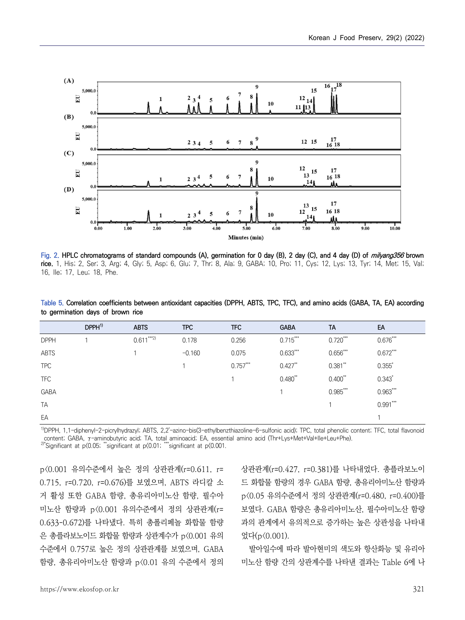

Fig. 2. HPLC chromatograms of standard compounds (A), germination for 0 day (B), 2 day (C), and 4 day (D) of *milyang356* brown **rice.** 1, His; 2, Ser; 3, Arg; 4, Gly; 5, Asp; 6, Glu; 7, Thr; 8, Ala; 9, GABA; 10, Pro; 11, Cys; 12, Lys; 13, Tyr; 14, Met; 15, Val; 16, Ile; 17, Leu; 18, Phe.

| Table 5. Correlation coefficients between antioxidant capacities (DPPH, ABTS, TPC, TFC), and amino acids (GABA, TA, EA) according |  |  |  |  |
|-----------------------------------------------------------------------------------------------------------------------------------|--|--|--|--|
| to germination days of brown rice                                                                                                 |  |  |  |  |

|             | DPPH <sup>1</sup> | <b>ABTS</b>  | <b>TPC</b> | <b>TFC</b> | <b>GABA</b> | <b>TA</b>  | EA         |
|-------------|-------------------|--------------|------------|------------|-------------|------------|------------|
| <b>DPPH</b> |                   | $0.611***2)$ | 0.178      | 0.256      | $0.715***$  | $0.720***$ | $0.676***$ |
| ABTS        |                   |              | $-0.160$   | 0.075      | $0.633***$  | $0.656***$ | $0.672***$ |
| <b>TPC</b>  |                   |              |            | $0.757***$ | $0.427**$   | $0.381**$  | $0.355*$   |
| <b>TFC</b>  |                   |              |            |            | $0.480**$   | $0.400**$  | $0.343*$   |
| GABA        |                   |              |            |            |             | $0.985***$ | $0.963***$ |
| <b>TA</b>   |                   |              |            |            |             |            | $0.991***$ |
| EA          |                   |              |            |            |             |            |            |

<sup>1)</sup>DPPH, 1,1-diphenyl-2-picrylhydrazyl; ABTS, 2,2'-azino-bis(3-ethylbenzthiazoline-6-sulfonic acid); TPC, total phenolic content; TFC, total flavonoid content; GABA, γ-aminobutyric acid; TA, total aminoacid; EA, essential amino acid (Thr+Lys+Met+Val+Ile+Leu+Phe).

2)\*Significant at p<0.05; \*\*significant at p<0.01; \*\*\*significant at p<0.001.

p<0.001 유의수준에서 높은 정의 상관관계(r=0.611, r= 0.715, r=0.720, r=0.676)를 보였으며, ABTS 라디칼 소 거 활성 또한 GABA 함량, 총유리아미노산 함량, 필수아 미노산 함량과 p<0.001 유의수준에서 정의 상관관계(r= 0.633-0.672)를 나타냈다. 특히 총폴리페놀 화합물 함량 은 총플라보노이드 화합물 함량과 상관계수가 p<0.001 유의 수준에서 0.757로 높은 정의 상관관계를 보였으며, GABA 함량, 총유리아미노산 함량과 p<0.01 유의 수준에서 정의 상관관계(r=0.427, r=0.381)를 나타내었다. 총플라보노이 드 화합물 함량의 경우 GABA 함량, 총유리아미노산 함량과 p<0.05 유의수준에서 정의 상관관계(r=0.480, r=0.400)를 보였다. GABA 함량은 총유리아미노산, 필수아미노산 함량 과의 관계에서 유의적으로 증가하는 높은 상관성을 나타내 었다(p<0.001).

발아일수에 따라 발아현미의 색도와 항산화능 및 유리아 미노산 함량 간의 상관계수를 나타낸 결과는 Table 6에 나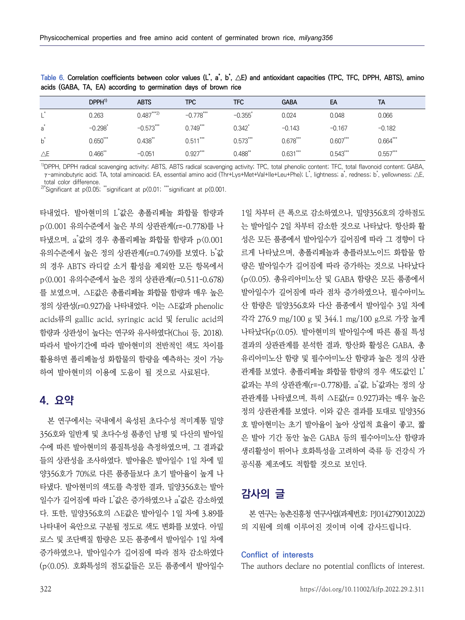|               | DPPH <sup>1</sup>     | <b>ABTS</b> | <b>TPC</b>  | <b>TFC</b>            | <b>GABA</b> | EA         | TA         |
|---------------|-----------------------|-------------|-------------|-----------------------|-------------|------------|------------|
| . *           | 0.263                 | $0.487***2$ | $-0.778***$ | $-0.355$ <sup>*</sup> | 0.024       | 0.048      | 0.066      |
| $a^*$         | $-0.298$ <sup>*</sup> | $-0.573***$ | $0.749***$  | 0.342                 | $-0.143$    | $-0.167$   | $-0.182$   |
| $b^*$         | $0.650***$            | $0.438**$   | $0.511***$  | $0.573***$            | $0.678***$  | $0.607***$ | $0.664***$ |
| $\triangle E$ | $0.466$ **            | $-0.051$    | $0.927***$  | $0.488$ **            | $0.631***$  | $0.543***$ | $0.557***$ |

**Table 6. Correlation coefficients between color values (L\*, a \*, b \*, △E) and antioxidant capacities (TPC, TFC, DPPH, ABTS), amino acids (GABA, TA, EA) according to germination days of brown rice**

<sup>1)</sup>DPPH, DPPH radical scavenging activity; ABTS, ABTS radical scavenging activity; TPC, total phenolic content; TFC, total flavonoid content; GABA, γ-aminobutyric acid; TA, total aminoacid; EA, essential amino acid (Thr+Lys+Met+Val+Ile+Leu+Phe); L \*, lightness; a \*, redness; b \*, yellowness; △E, total color difference.

<sup>2)\*</sup>Significant at p $(0.05;$  \*\*significant at p $(0.01;$  \*\*\*significant at p $(0.001;$ 

타내었다. 발아현미의 L 값은 총폴리페놀 화합물 함량과 1 p<0.001 유의수준에서 높은 부의 상관관계(r=-0.778)를 나 타냈으며, a 값의 경우 총폴리페놀 화합물 함량과 p<0.001 40 유의수준에서 높은 정의 상관관계(r=0.749)를 보였다. b 의 경우 ABTS 라디칼 소거 활성을 제외한 모든 항목에서 p<0.001 유의수준에서 높은 정의 상관관계(r=0.511-0.678) 를 보였으며, ∆E값은 총폴리페놀 화합물 함량과 매우 높은 정의 상관성(r=0.927)을 나타내었다. 이는 ∆E값과 phenolic acids류의 gallic acid, syringic acid 및 ferulic acid의 함량과 상관성이 높다는 연구와 유사하였다(Choi 등, 2018). 따라서 발아기간에 따라 발아현미의 전반적인 색도 차이를 활용하면 폴리페놀성 화합물의 함량을 예측하는 것이 가능 하여 발아현미의 이용에 도움이 될 것으로 사료된다.

# **4. 요약**

본 연구에서는 국내에서 육성된 초다수성 적미계통 밀양 356호와 일반계 및 초다수성 품종인 남평 및 다산의 발아일 수에 따른 발아현미의 품질특성을 측정하였으며, 그 결과값 들의 상관성을 조사하였다. 발아율은 발아일수 1일 차에 밀 양356호가 70%로 다른 품종들보다 초기 발아율이 높게 나 타냈다. 발아현미의 색도를 측정한 결과, 밀양356호는 발아 일수가 길어짐에 따라 L"값은 증가하였으나 a"값은 감소하였 ㅠㅠ ㅠㅠㅠㅠㅠㅠㅠㅠㅠㅠㅠㅠㅠㅠㅠㅠㅠㅠㅠㅠㅠㅠㅠㅠㅠㅠㅠㅠ 다. 또한, 밀양356호의 ∆E값은 발아일수 1일 차에 3.89를 나타내어 육안으로 구분될 정도로 색도 변화를 보였다. 아밀 로스 및 조단백질 함량은 모든 품종에서 발아일수 1일 차에 증가하였으나, 발아일수가 길어짐에 따라 점차 감소하였다 (p<0.05). 호화특성의 점도값들은 모든 품종에서 발아일수

\*값 르게 나타났으며, 총폴리페놀과 총플라보노이드 화합물 함 1일 차부터 큰 폭으로 감소하였으나, 밀양356호의 강하점도 는 발아일수 2일 차부터 감소한 것으로 나타났다. 항산화 활 성은 모든 품종에서 발아일수가 길어짐에 따라 그 경향이 다 량은 발아일수가 길어짐에 따라 증가하는 것으로 나타났다 (p<0.05). 총유리아미노산 및 GABA 함량은 모든 품종에서 발아일수가 길어짐에 따라 점차 증가하였으나, 필수아미노 산 함량은 밀양356호와 다산 품종에서 발아일수 3일 차에 각각 276.9 mg/100 g 및 344.1 mg/100 g으로 가장 높게 나타났다(p<0.05). 발아현미의 발아일수에 따른 품질 특성 결과의 상관관계를 분석한 결과, 항산화 활성은 GABA, 총 유리아미노산 함량 및 필수아미노산 함량과 높은 정의 상관 관계를 보였다. 총폴리페놀 화합물 함량의 경우 색도값이 L<sup>\*</sup> \* 값과는 부의 상관관계(r=-0.778)를, a゙값, b゙값과는 정의 상 관관계를 나타냈으며, 특히 ∆E값(r= 0.927)과는 매우 높은 정의 상관관계를 보였다. 이와 같은 결과를 토대로 밀양356 호 발아현미는 초기 발아율이 높아 상업적 효율이 좋고, 짧 은 발아 기간 동안 높은 GABA 등의 필수아미노산 함량과 생리활성이 뛰어나 호화특성을 고려하여 죽류 등 건강식 가 공식품 제조에도 적합할 것으로 보인다.

# **감사의 글**

본 연구는 농촌진흥청 연구사업(과제번호: PJ014279012022) 의 지원에 의해 이루어진 것이며 이에 감사드립니다.

### **Conflict of interests**

The authors declare no potential conflicts of interest.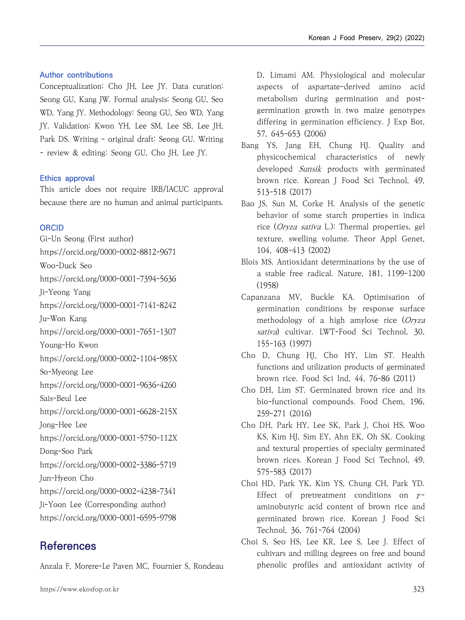### **Author contributions**

Conceptualization: Cho JH, Lee JY. Data curation: Seong GU, Kang JW. Formal analysis: Seong GU, Seo WD, Yang JY. Methodology: Seong GU, Seo WD, Yang JY. Validation: Kwon YH, Lee SM, Lee SB, Lee JH, Park DS. Writing - original draft: Seong GU. Writing - review & editing: Seong GU, Cho JH, Lee JY.

#### **Ethics approval**

This article does not require IRB/IACUC approval because there are no human and animal participants.

### **ORCID**

Gi-Un Seong (First author) https://orcid.org/0000-0002-8812-9671 Woo-Duck Seo https://orcid.org/0000-0001-7394-5636 Ji-Yeong Yang https://orcid.org/0000-0001-7141-8242 Ju-Won Kang https://orcid.org/0000-0001-7651-1307 Young-Ho Kwon https://orcid.org/0000-0002-1104-985X So-Myeong Lee https://orcid.org/0000-0001-9636-4260 Sais-Beul Lee https://orcid.org/0000-0001-6628-215X Jong-Hee Lee https://orcid.org/0000-0001-5750-112X Dong-Soo Park https://orcid.org/0000-0002-3386-5719 Jun-Hyeon Cho https://orcid.org/0000-0002-4238-7341 Ji-Yoon Lee (Corresponding author) https://orcid.org/0000-0001-6595-9798

# **References**

Anzala F, Morere-Le Paven MC, Fournier S, Rondeau

D, Limami AM. Physiological and molecular aspects of aspartate-derived amino acid metabolism during germination and postgermination growth in two maize genotypes differing in germination efficiency. J Exp Bot, 57, 645-653 (2006)

- Bang YS, Jang EH, Chung HJ. Quality and physicochemical characteristics of newly developed Sunsik products with germinated brown rice. Korean J Food Sci Technol, 49, 513-518 (2017)
- Bao JS, Sun M, Corke H. Analysis of the genetic behavior of some starch properties in indica rice (Oryza sativa L.): Thermal properties, gel texture, swelling volume. Theor Appl Genet, 104, 408-413 (2002)
- Blois MS. Antioxidant determinations by the use of a stable free radical. Nature, 181, 1199-1200 (1958)
- Capanzana MV, Buckle KA. Optimisation of germination conditions by response surface methodology of a high amylose rice (Oryza sativa) cultivar. LWT-Food Sci Technol, 30, 155-163 (1997)
- Cho D, Chung HJ, Cho HY, Lim ST. Health functions and utilization products of germinated brown rice. Food Sci Ind, 44, 76-86 (2011)
- Cho DH, Lim ST. Germinated brown rice and its bio-functional compounds. Food Chem, 196, 259-271 (2016)
- Cho DH, Park HY, Lee SK, Park J, Choi HS, Woo KS, Kim HJ, Sim EY, Ahn EK, Oh SK. Cooking and textural properties of specialty germinated brown rices. Korean J Food Sci Technol, 49, 575-583 (2017)
- Choi HD, Park YK, Kim YS, Chung CH, Park YD. Effect of pretreatment conditions on  $\gamma$ -<br>aminobutyric acid content of brown rice and germinated brown rice. Korean J Food Sci Technol, 36, 761-764 (2004)
- Choi S, Seo HS, Lee KR, Lee S, Lee J. Effect of cultivars and milling degrees on free and bound phenolic profiles and antioxidant activity of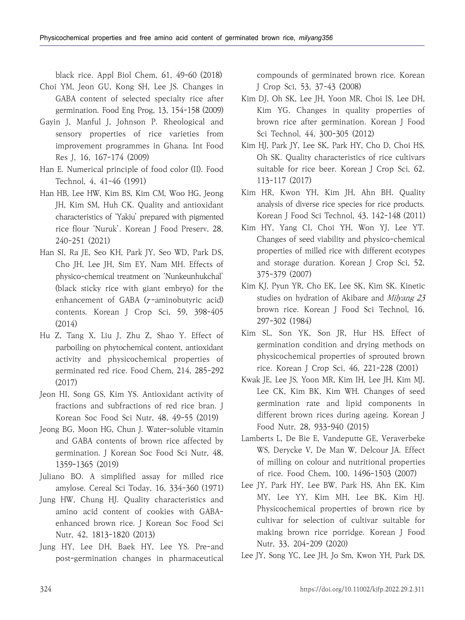black rice. Appl Biol Chem, 61, 49-60 (2018)

- Choi YM, Jeon GU, Kong SH, Lee JS. Changes in GABA content of selected specialty rice after germination. Food Eng Prog, 13, 154-158 (2009)
- Gayin J, Manful J, Johnson P. Rheological and sensory properties of rice varieties from improvement programmes in Ghana. Int Food Res J, 16, 167-174 (2009)
- Han E. Numerical principle of food color (II). Food Technol, 4, 41-46 (1991)
- Han HB, Lee HW, Kim BS, Kim CM, Woo HG, Jeong JH, Kim SM, Huh CK. Quality and antioxidant characteristics of 'Yakju' prepared with pigmented rice flour 'Nuruk'. Korean J Food Preserv, 28, 240-251 (2021)
- Han SI, Ra JE, Seo KH, Park JY, Seo WD, Park DS, Cho JH, Lee JH, Sim EY, Nam MH. Effects of physico-chemical treatment on 'Nunkeunhukchal' (black sticky rice with giant embryo) for the enhancement of GABA (γ-aminobutyric acid) contents. Korean J Crop Sci, 59, 398-405 (2014)
- Hu Z, Tang X, Liu J, Zhu Z, Shao Y. Effect of parboiling on phytochemical content, antioxidant activity and physicochemical properties of germinated red rice. Food Chem, 214, 285-292 (2017)
- Jeon HI, Song GS, Kim YS. Antioxidant activity of fractions and subfractions of red rice bran. J Korean Soc Food Sci Nutr, 48, 49-55 (2019)
- Jeong BG, Moon HG, Chun J. Water-soluble vitamin and GABA contents of brown rice affected by germination. J Korean Soc Food Sci Nutr, 48, 1359-1365 (2019)
- Juliano BO. A simplified assay for milled rice amylose. Cereal Sci Today, 16, 334-360 (1971)
- Jung HW, Chung HJ. Quality characteristics and amino acid content of cookies with GABAenhanced brown rice. J Korean Soc Food Sci Nutr, 42, 1813-1820 (2013)
- Jung HY, Lee DH, Baek HY, Lee YS. Pre-and post-germination changes in pharmaceutical

compounds of germinated brown rice. Korean J Crop Sci, 53, 37-43 (2008)

- Kim DJ, Oh SK, Lee JH, Yoon MR, Choi IS, Lee DH, Kim YG. Changes in quality properties of brown rice after germination. Korean J Food Sci Technol, 44, 300-305 (2012)
- Kim HJ, Park JY, Lee SK, Park HY, Cho D, Choi HS, Oh SK. Quality characteristics of rice cultivars suitable for rice beer. Korean J Crop Sci, 62, 113-117 (2017)
- Kim HR, Kwon YH, Kim JH, Ahn BH. Quality analysis of diverse rice species for rice products. Korean J Food Sci Technol, 43, 142-148 (2011)
- Kim HY, Yang CI, Choi YH, Won YJ, Lee YT. Changes of seed viability and physico-chemical properties of milled rice with different ecotypes and storage duration. Korean J Crop Sci, 52, 375-379 (2007)
- Kim KJ, Pyun YR, Cho EK, Lee SK, Kim SK. Kinetic studies on hydration of Akibare and *Milyang 23* brown rice. Korean J Food Sci Technol, 16, 297-302 (1984)
- Kim SL, Son YK, Son JR, Hur HS. Effect of germination condition and drying methods on physicochemical properties of sprouted brown rice. Korean J Crop Sci, 46, 221-228 (2001)
- Kwak JE, Lee JS, Yoon MR, Kim IH, Lee JH, Kim MJ, Lee CK, Kim BK, Kim WH. Changes of seed germination rate and lipid components in different brown rices during ageing. Korean J Food Nutr, 28, 933-940 (2015)
- Lamberts L, De Bie E, Vandeputte GE, Veraverbeke WS, Derycke V, De Man W, Delcour JA. Effect of milling on colour and nutritional properties of rice. Food Chem, 100, 1496-1503 (2007)
- Lee JY, Park HY, Lee BW, Park HS, Ahn EK, Kim MY, Lee YY, Kim MH, Lee BK, Kim HJ. Physicochemical properties of brown rice by cultivar for selection of cultivar suitable for making brown rice porridge. Korean J Food Nutr, 33, 204-209 (2020)
- Lee JY, Song YC, Lee JH, Jo Sm, Kwon YH, Park DS,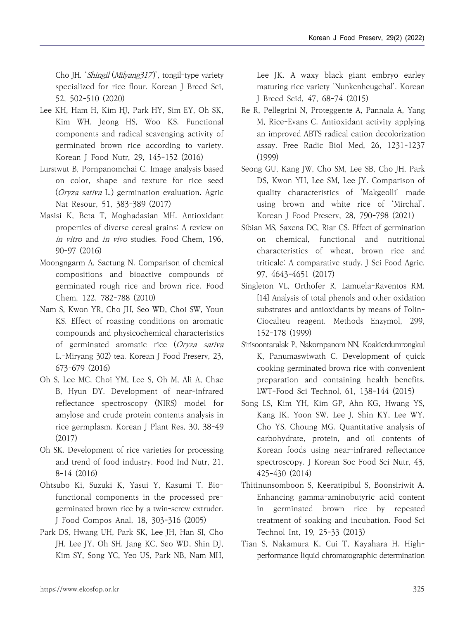Cho JH. 'Shingil (Milyang 317)', tongil-type variety specialized for rice flour. Korean J Breed Sci, 52, 502-510 (2020)

- Lee KH, Ham H, Kim HJ, Park HY, Sim EY, Oh SK, Kim WH, Jeong HS, Woo KS. Functional components and radical scavenging activity of germinated brown rice according to variety. Korean J Food Nutr, 29, 145-152 (2016)
- Lurstwut B, Pornpanomchai C. Image analysis based on color, shape and texture for rice seed (Oryza sativa L.) germination evaluation. Agric Nat Resour, 51, 383-389 (2017)
- Masisi K, Beta T, Moghadasian MH. Antioxidant properties of diverse cereal grains: A review on in vitro and in vivo studies. Food Chem, 196, 90-97 (2016)
- Moongngarm A, Saetung N. Comparison of chemical compositions and bioactive compounds of germinated rough rice and brown rice. Food Chem, 122, 782-788 (2010)
- Nam S, Kwon YR, Cho JH, Seo WD, Choi SW, Youn KS. Effect of roasting conditions on aromatic compounds and physicochemical characteristics of germinated aromatic rice (Oryza sativa L.-Miryang 302) tea. Korean J Food Preserv, 23, 673-679 (2016)
- Oh S, Lee MC, Choi YM, Lee S, Oh M, Ali A, Chae B, Hyun DY. Development of near-infrared reflectance spectroscopy (NIRS) model for amylose and crude protein contents analysis in rice germplasm. Korean J Plant Res, 30, 38-49 (2017)
- Oh SK. Development of rice varieties for processing and trend of food industry. Food Ind Nutr, 21, 8-14 (2016)
- Ohtsubo Ki, Suzuki K, Yasui Y, Kasumi T. Biofunctional components in the processed pregerminated brown rice by a twin-screw extruder. J Food Compos Anal, 18, 303-316 (2005)
- Park DS, Hwang UH, Park SK, Lee JH, Han SI, Cho JH, Lee JY, Oh SH, Jang KC, Seo WD, Shin DJ, Kim SY, Song YC, Yeo US, Park NB, Nam MH,

Lee JK. A waxy black giant embryo earley maturing rice variety 'Nunkenheugchal'. Korean J Breed Scid, 47, 68-74 (2015)

- Re R, Pellegrini N, Proteggente A, Pannala A, Yang M, Rice-Evans C. Antioxidant activity applying an improved ABTS radical cation decolorization assay. Free Radic Biol Med, 26, 1231-1237 (1999)
- Seong GU, Kang JW, Cho SM, Lee SB, Cho JH, Park DS, Kwon YH, Lee SM, Lee JY. Comparison of quality characteristics of 'Makgeolli' made using brown and white rice of 'Mirchal'. Korean J Food Preserv, 28, 790-798 (2021)
- Sibian MS, Saxena DC, Riar CS. Effect of germination on chemical, functional and nutritional characteristics of wheat, brown rice and triticale: A comparative study. J Sci Food Agric, 97, 4643-4651 (2017)
- Singleton VL, Orthofer R, Lamuela-Raventos RM. [14] Analysis of total phenols and other oxidation substrates and antioxidants by means of Folin-Ciocalteu reagent. Methods Enzymol, 299, 152-178 (1999)
- Sirisoontaralak P, Nakornpanom NN, Koakietdumrongkul K, Panumaswiwath C. Development of quick cooking germinated brown rice with convenient preparation and containing health benefits. LWT-Food Sci Technol, 61, 138-144 (2015)
- Song LS, Kim YH, Kim GP, Ahn KG, Hwang YS, Kang IK, Yoon SW, Lee J, Shin KY, Lee WY, Cho YS, Choung MG. Quantitative analysis of carbohydrate, protein, and oil contents of Korean foods using near-infrared reflectance spectroscopy. J Korean Soc Food Sci Nutr, 43, 425-430 (2014)
- Thitinunsomboon S, Keeratipibul S, Boonsiriwit A. Enhancing gamma-aminobutyric acid content in germinated brown rice by repeated treatment of soaking and incubation. Food Sci Technol Int, 19, 25-33 (2013)
- Tian S, Nakamura K, Cui T, Kayahara H. Highperformance liquid chromatographic determination